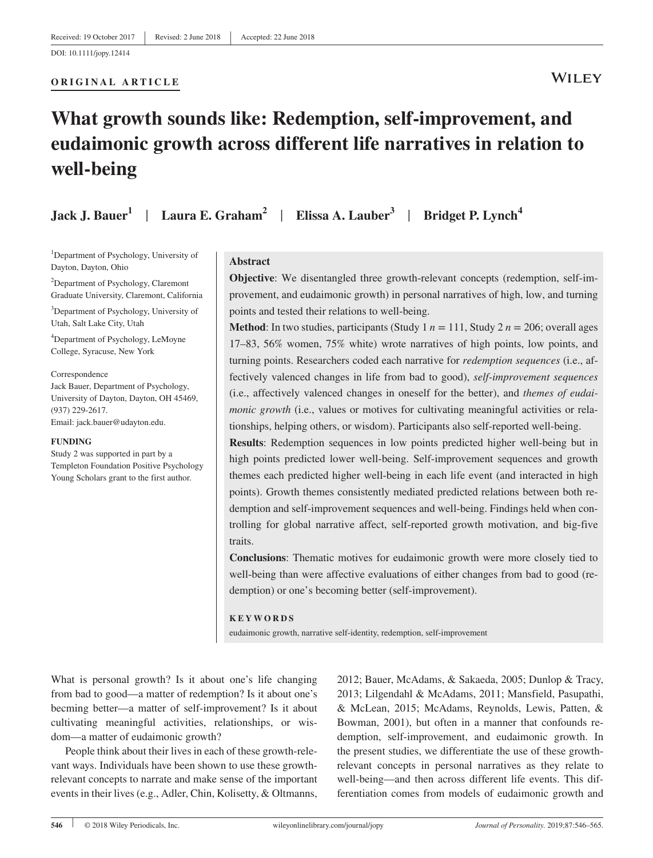#### **ORIGINAL ARTICLE**

# **WILEY**

# **What growth sounds like: Redemption, self‐improvement, and eudaimonic growth across different life narratives in relation to well‐being**

**Jack J. Bauer1** | **Laura E. Graham2** | **Elissa A. Lauber3** | **Bridget P. Lynch<sup>4</sup>**

1 Department of Psychology, University of Dayton, Dayton, Ohio

<sup>2</sup>Department of Psychology, Claremont Graduate University, Claremont, California

3 Department of Psychology, University of Utah, Salt Lake City, Utah

4 Department of Psychology, LeMoyne College, Syracuse, New York

#### Correspondence

Jack Bauer, Department of Psychology, University of Dayton, Dayton, OH 45469, (937) 229‐2617. Email: [jack.bauer@udayton.edu](mailto:jack.bauer@udayton.edu).

#### **FUNDING**

Study 2 was supported in part by a Templeton Foundation Positive Psychology Young Scholars grant to the first author.

#### **Abstract**

**Objective**: We disentangled three growth-relevant concepts (redemption, self-improvement, and eudaimonic growth) in personal narratives of high, low, and turning points and tested their relations to well‐being.

**Method**: In two studies, participants (Study 1  $n = 111$ , Study 2  $n = 206$ ; overall ages 17–83, 56% women, 75% white) wrote narratives of high points, low points, and turning points. Researchers coded each narrative for *redemption sequences* (i.e., affectively valenced changes in life from bad to good), *self‐improvement sequences* (i.e., affectively valenced changes in oneself for the better), and *themes of eudaimonic growth* (i.e., values or motives for cultivating meaningful activities or relationships, helping others, or wisdom). Participants also self‐reported well‐being.

**Results**: Redemption sequences in low points predicted higher well‐being but in high points predicted lower well-being. Self-improvement sequences and growth themes each predicted higher well‐being in each life event (and interacted in high points). Growth themes consistently mediated predicted relations between both redemption and self‐improvement sequences and well‐being. Findings held when controlling for global narrative affect, self‐reported growth motivation, and big‐five traits.

**Conclusions**: Thematic motives for eudaimonic growth were more closely tied to well-being than were affective evaluations of either changes from bad to good (redemption) or one's becoming better (self-improvement).

#### **KEYWORDS**

eudaimonic growth, narrative self‐identity, redemption, self‐improvement

What is personal growth? Is it about one's life changing from bad to good—a matter of redemption? Is it about one's becming better—a matter of self‐improvement? Is it about cultivating meaningful activities, relationships, or wisdom—a matter of eudaimonic growth?

People think about their lives in each of these growth‐relevant ways. Individuals have been shown to use these growth‐ relevant concepts to narrate and make sense of the important events in their lives (e.g., Adler, Chin, Kolisetty, & Oltmanns, 2012; Bauer, McAdams, & Sakaeda, 2005; Dunlop & Tracy, 2013; Lilgendahl & McAdams, 2011; Mansfield, Pasupathi, & McLean, 2015; McAdams, Reynolds, Lewis, Patten, & Bowman, 2001), but often in a manner that confounds redemption, self-improvement, and eudaimonic growth. In the present studies, we differentiate the use of these growth‐ relevant concepts in personal narratives as they relate to well-being—and then across different life events. This differentiation comes from models of eudaimonic growth and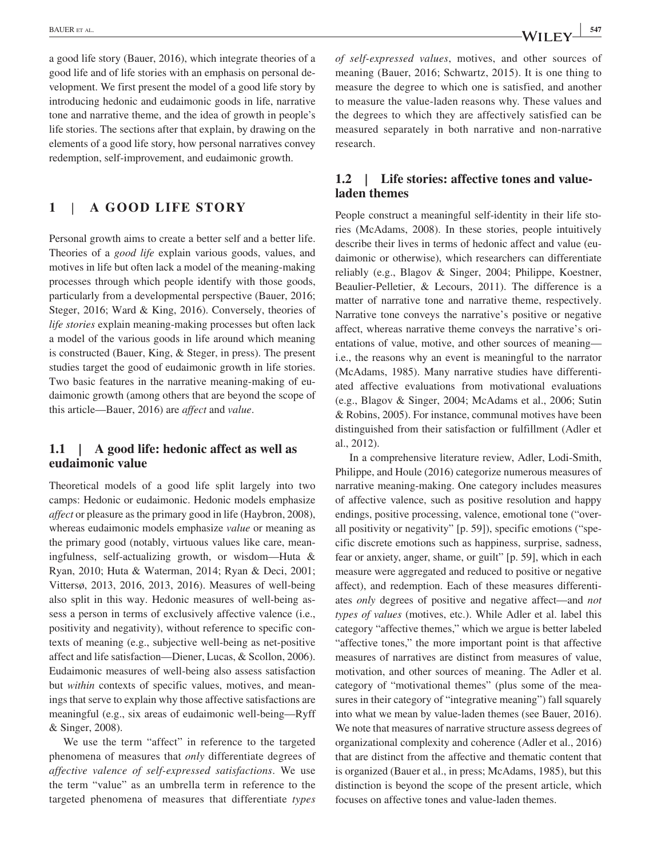a good life story (Bauer, 2016), which integrate theories of a good life and of life stories with an emphasis on personal development. We first present the model of a good life story by introducing hedonic and eudaimonic goods in life, narrative tone and narrative theme, and the idea of growth in people's life stories. The sections after that explain, by drawing on the elements of a good life story, how personal narratives convey redemption, self‐improvement, and eudaimonic growth.

# **1** | **A GOOD LIFE STORY**

Personal growth aims to create a better self and a better life. Theories of a *good life* explain various goods, values, and motives in life but often lack a model of the meaning‐making processes through which people identify with those goods, particularly from a developmental perspective (Bauer, 2016; Steger, 2016; Ward & King, 2016). Conversely, theories of *life stories* explain meaning‐making processes but often lack a model of the various goods in life around which meaning is constructed (Bauer, King, & Steger, in press). The present studies target the good of eudaimonic growth in life stories. Two basic features in the narrative meaning‐making of eudaimonic growth (among others that are beyond the scope of this article—Bauer, 2016) are *affect* and *value*.

## **1.1** *|* **A good life: hedonic affect as well as eudaimonic value**

Theoretical models of a good life split largely into two camps: Hedonic or eudaimonic. Hedonic models emphasize *affect* or pleasure as the primary good in life (Haybron, 2008), whereas eudaimonic models emphasize *value* or meaning as the primary good (notably, virtuous values like care, meaningfulness, self‐actualizing growth, or wisdom—Huta & Ryan, 2010; Huta & Waterman, 2014; Ryan & Deci, 2001; Vittersø, 2013, 2016, 2013, 2016). Measures of well‐being also split in this way. Hedonic measures of well‐being assess a person in terms of exclusively affective valence (i.e., positivity and negativity), without reference to specific contexts of meaning (e.g., subjective well‐being as net‐positive affect and life satisfaction—Diener, Lucas, & Scollon, 2006). Eudaimonic measures of well‐being also assess satisfaction but *within* contexts of specific values, motives, and meanings that serve to explain why those affective satisfactions are meaningful (e.g., six areas of eudaimonic well‐being—Ryff & Singer, 2008).

We use the term "affect" in reference to the targeted phenomena of measures that *only* differentiate degrees of *affective valence of self‐expressed satisfactions*. We use the term "value" as an umbrella term in reference to the targeted phenomena of measures that differentiate *types* 

*of self‐expressed values*, motives, and other sources of meaning (Bauer, 2016; Schwartz, 2015). It is one thing to measure the degree to which one is satisfied, and another to measure the value‐laden reasons why. These values and the degrees to which they are affectively satisfied can be measured separately in both narrative and non‐narrative research.

# **1.2** *|* **Life stories: affective tones and value‐ laden themes**

People construct a meaningful self‐identity in their life stories (McAdams, 2008). In these stories, people intuitively describe their lives in terms of hedonic affect and value (eudaimonic or otherwise), which researchers can differentiate reliably (e.g., Blagov & Singer, 2004; Philippe, Koestner, Beaulier‐Pelletier, & Lecours, 2011). The difference is a matter of narrative tone and narrative theme, respectively. Narrative tone conveys the narrative's positive or negative affect, whereas narrative theme conveys the narrative's orientations of value, motive, and other sources of meaning i.e., the reasons why an event is meaningful to the narrator (McAdams, 1985). Many narrative studies have differentiated affective evaluations from motivational evaluations (e.g., Blagov & Singer, 2004; McAdams et al., 2006; Sutin & Robins, 2005). For instance, communal motives have been distinguished from their satisfaction or fulfillment (Adler et al., 2012).

In a comprehensive literature review, Adler, Lodi‐Smith, Philippe, and Houle (2016) categorize numerous measures of narrative meaning‐making. One category includes measures of affective valence, such as positive resolution and happy endings, positive processing, valence, emotional tone ("overall positivity or negativity" [p. 59]), specific emotions ("specific discrete emotions such as happiness, surprise, sadness, fear or anxiety, anger, shame, or guilt" [p. 59], which in each measure were aggregated and reduced to positive or negative affect), and redemption. Each of these measures differentiates *only* degrees of positive and negative affect—and *not types of values* (motives, etc.). While Adler et al. label this category "affective themes," which we argue is better labeled "affective tones," the more important point is that affective measures of narratives are distinct from measures of value, motivation, and other sources of meaning. The Adler et al. category of "motivational themes" (plus some of the measures in their category of "integrative meaning") fall squarely into what we mean by value‐laden themes (see Bauer, 2016). We note that measures of narrative structure assess degrees of organizational complexity and coherence (Adler et al., 2016) that are distinct from the affective and thematic content that is organized (Bauer et al., in press; McAdams, 1985), but this distinction is beyond the scope of the present article, which focuses on affective tones and value‐laden themes.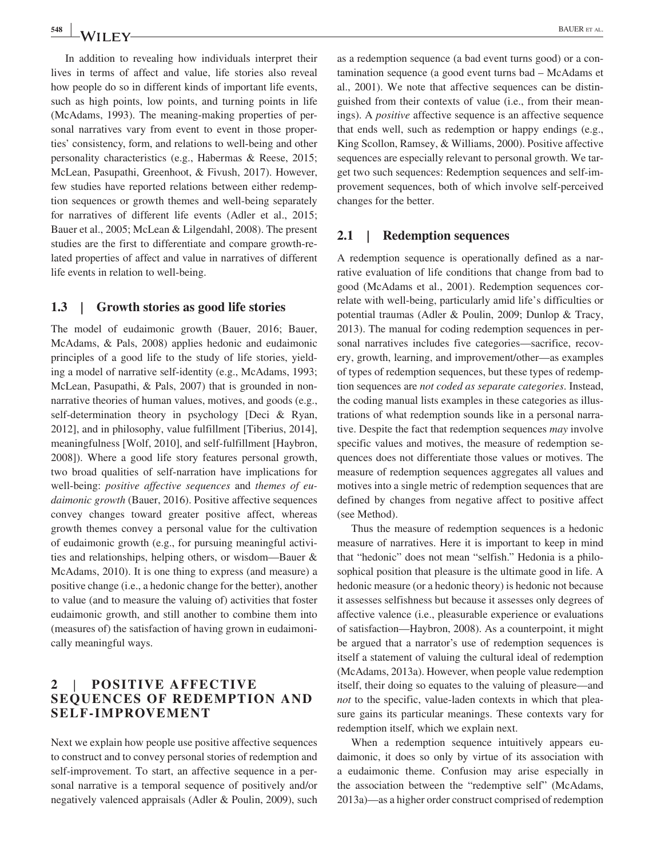In addition to revealing how individuals interpret their lives in terms of affect and value, life stories also reveal how people do so in different kinds of important life events, such as high points, low points, and turning points in life (McAdams, 1993). The meaning‐making properties of personal narratives vary from event to event in those properties' consistency, form, and relations to well‐being and other personality characteristics (e.g., Habermas & Reese, 2015; McLean, Pasupathi, Greenhoot, & Fivush, 2017). However, few studies have reported relations between either redemption sequences or growth themes and well‐being separately for narratives of different life events (Adler et al., 2015; Bauer et al., 2005; McLean & Lilgendahl, 2008). The present studies are the first to differentiate and compare growth‐related properties of affect and value in narratives of different life events in relation to well‐being.

## **1.3** *|* **Growth stories as good life stories**

The model of eudaimonic growth (Bauer, 2016; Bauer, McAdams, & Pals, 2008) applies hedonic and eudaimonic principles of a good life to the study of life stories, yielding a model of narrative self-identity (e.g., McAdams, 1993; McLean, Pasupathi, & Pals, 2007) that is grounded in nonnarrative theories of human values, motives, and goods (e.g., self-determination theory in psychology [Deci & Ryan, 2012], and in philosophy, value fulfillment [Tiberius, 2014], meaningfulness [Wolf, 2010], and self‐fulfillment [Haybron, 2008]). Where a good life story features personal growth, two broad qualities of self‐narration have implications for well‐being: *positive affective sequences* and *themes of eudaimonic growth* (Bauer, 2016). Positive affective sequences convey changes toward greater positive affect, whereas growth themes convey a personal value for the cultivation of eudaimonic growth (e.g., for pursuing meaningful activities and relationships, helping others, or wisdom—Bauer & McAdams, 2010). It is one thing to express (and measure) a positive change (i.e., a hedonic change for the better), another to value (and to measure the valuing of) activities that foster eudaimonic growth, and still another to combine them into (measures of) the satisfaction of having grown in eudaimonically meaningful ways.

# **2** | **POSITIVE AFFECTIVE SEQUENCES OF REDEMPTION AND SELF‐IMPROVEMENT**

Next we explain how people use positive affective sequences to construct and to convey personal stories of redemption and self-improvement. To start, an affective sequence in a personal narrative is a temporal sequence of positively and/or negatively valenced appraisals (Adler & Poulin, 2009), such as a redemption sequence (a bad event turns good) or a contamination sequence (a good event turns bad – McAdams et al., 2001). We note that affective sequences can be distinguished from their contexts of value (i.e., from their meanings). A *positive* affective sequence is an affective sequence that ends well, such as redemption or happy endings (e.g., King Scollon, Ramsey, & Williams, 2000). Positive affective sequences are especially relevant to personal growth. We target two such sequences: Redemption sequences and self‐improvement sequences, both of which involve self‐perceived changes for the better.

## **2.1** *|* **Redemption sequences**

A redemption sequence is operationally defined as a narrative evaluation of life conditions that change from bad to good (McAdams et al., 2001). Redemption sequences correlate with well‐being, particularly amid life's difficulties or potential traumas (Adler & Poulin, 2009; Dunlop & Tracy, 2013). The manual for coding redemption sequences in personal narratives includes five categories—sacrifice, recovery, growth, learning, and improvement/other—as examples of types of redemption sequences, but these types of redemption sequences are *not coded as separate categories*. Instead, the coding manual lists examples in these categories as illustrations of what redemption sounds like in a personal narrative. Despite the fact that redemption sequences *may* involve specific values and motives, the measure of redemption sequences does not differentiate those values or motives. The measure of redemption sequences aggregates all values and motives into a single metric of redemption sequences that are defined by changes from negative affect to positive affect (see Method).

Thus the measure of redemption sequences is a hedonic measure of narratives. Here it is important to keep in mind that "hedonic" does not mean "selfish." Hedonia is a philosophical position that pleasure is the ultimate good in life. A hedonic measure (or a hedonic theory) is hedonic not because it assesses selfishness but because it assesses only degrees of affective valence (i.e., pleasurable experience or evaluations of satisfaction—Haybron, 2008). As a counterpoint, it might be argued that a narrator's use of redemption sequences is itself a statement of valuing the cultural ideal of redemption (McAdams, 2013a). However, when people value redemption itself, their doing so equates to the valuing of pleasure—and *not* to the specific, value-laden contexts in which that pleasure gains its particular meanings. These contexts vary for redemption itself, which we explain next.

When a redemption sequence intuitively appears eudaimonic, it does so only by virtue of its association with a eudaimonic theme. Confusion may arise especially in the association between the "redemptive self" (McAdams, 2013a)—as a higher order construct comprised of redemption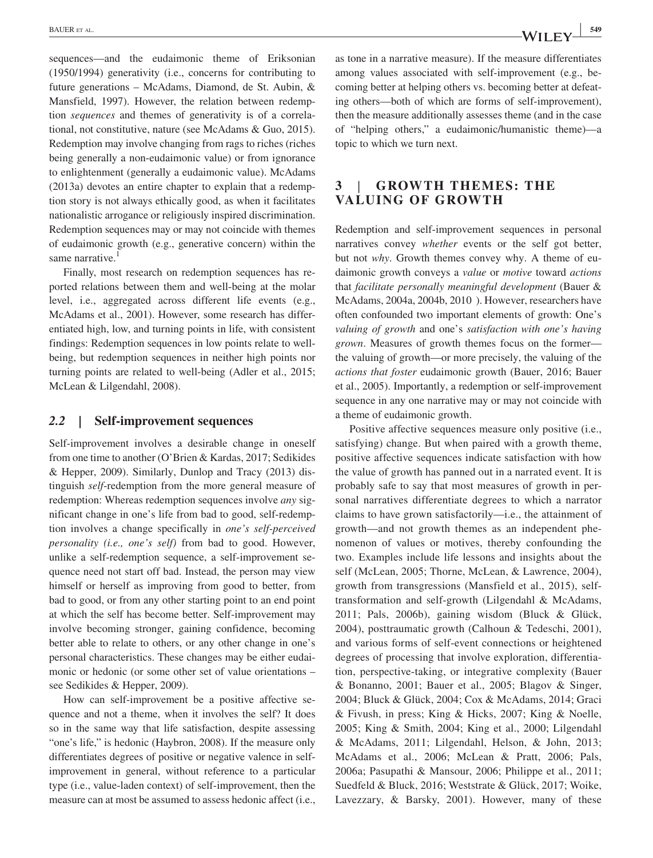sequences—and the eudaimonic theme of Eriksonian (1950/1994) generativity (i.e., concerns for contributing to future generations – McAdams, Diamond, de St. Aubin, & Mansfield, 1997). However, the relation between redemption *sequences* and themes of generativity is of a correlational, not constitutive, nature (see McAdams & Guo, 2015). Redemption may involve changing from rags to riches (riches being generally a non-eudaimonic value) or from ignorance to enlightenment (generally a eudaimonic value). McAdams (2013a) devotes an entire chapter to explain that a redemption story is not always ethically good, as when it facilitates nationalistic arrogance or religiously inspired discrimination. Redemption sequences may or may not coincide with themes of eudaimonic growth (e.g., generative concern) within the same narrative.<sup>1</sup>

Finally, most research on redemption sequences has reported relations between them and well‐being at the molar level, i.e., aggregated across different life events (e.g., McAdams et al., 2001). However, some research has differentiated high, low, and turning points in life, with consistent findings: Redemption sequences in low points relate to wellbeing, but redemption sequences in neither high points nor turning points are related to well‐being (Adler et al., 2015; McLean & Lilgendahl, 2008).

#### *2.2 |* **Self‐improvement sequences**

Self-improvement involves a desirable change in oneself from one time to another (O'Brien & Kardas, 2017; Sedikides & Hepper, 2009). Similarly, Dunlop and Tracy (2013) distinguish *self*‐redemption from the more general measure of redemption: Whereas redemption sequences involve *any* significant change in one's life from bad to good, self‐redemption involves a change specifically in *one's self‐perceived personality (i.e., one's self)* from bad to good. However, unlike a self‐redemption sequence, a self‐improvement sequence need not start off bad. Instead, the person may view himself or herself as improving from good to better, from bad to good, or from any other starting point to an end point at which the self has become better. Self‐improvement may involve becoming stronger, gaining confidence, becoming better able to relate to others, or any other change in one's personal characteristics. These changes may be either eudaimonic or hedonic (or some other set of value orientations – see Sedikides & Hepper, 2009).

How can self‐improvement be a positive affective sequence and not a theme, when it involves the self? It does so in the same way that life satisfaction, despite assessing "one's life," is hedonic (Haybron, 2008). If the measure only differentiates degrees of positive or negative valence in self‐ improvement in general, without reference to a particular type (i.e., value‐laden context) of self‐improvement, then the measure can at most be assumed to assess hedonic affect (i.e.,

as tone in a narrative measure). If the measure differentiates among values associated with self-improvement (e.g., becoming better at helping others vs. becoming better at defeating others—both of which are forms of self-improvement), then the measure additionally assesses theme (and in the case of "helping others," a eudaimonic/humanistic theme)—a topic to which we turn next.

# **3** | **GROWTH THEMES: THE VALUING OF GROWTH**

Redemption and self‐improvement sequences in personal narratives convey *whether* events or the self got better, but not *why*. Growth themes convey why. A theme of eudaimonic growth conveys a *value* or *motive* toward *actions* that *facilitate personally meaningful development* (Bauer & McAdams, 2004a, 2004b, 2010 ). However, researchers have often confounded two important elements of growth: One's *valuing of growth* and one's *satisfaction with one's having grown*. Measures of growth themes focus on the former the valuing of growth—or more precisely, the valuing of the *actions that foster* eudaimonic growth (Bauer, 2016; Bauer et al., 2005). Importantly, a redemption or self‐improvement sequence in any one narrative may or may not coincide with a theme of eudaimonic growth.

Positive affective sequences measure only positive (i.e., satisfying) change. But when paired with a growth theme, positive affective sequences indicate satisfaction with how the value of growth has panned out in a narrated event. It is probably safe to say that most measures of growth in personal narratives differentiate degrees to which a narrator claims to have grown satisfactorily—i.e., the attainment of growth—and not growth themes as an independent phenomenon of values or motives, thereby confounding the two. Examples include life lessons and insights about the self (McLean, 2005; Thorne, McLean, & Lawrence, 2004), growth from transgressions (Mansfield et al., 2015), self‐ transformation and self‐growth (Lilgendahl & McAdams, 2011; Pals, 2006b), gaining wisdom (Bluck & Glück, 2004), posttraumatic growth (Calhoun & Tedeschi, 2001), and various forms of self‐event connections or heightened degrees of processing that involve exploration, differentiation, perspective‐taking, or integrative complexity (Bauer & Bonanno, 2001; Bauer et al., 2005; Blagov & Singer, 2004; Bluck & Glück, 2004; Cox & McAdams, 2014; Graci & Fivush, in press; King & Hicks, 2007; King & Noelle, 2005; King & Smith, 2004; King et al., 2000; Lilgendahl & McAdams, 2011; Lilgendahl, Helson, & John, 2013; McAdams et al., 2006; McLean & Pratt, 2006; Pals, 2006a; Pasupathi & Mansour, 2006; Philippe et al., 2011; Suedfeld & Bluck, 2016; Weststrate & Glück, 2017; Woike, Lavezzary, & Barsky, 2001). However, many of these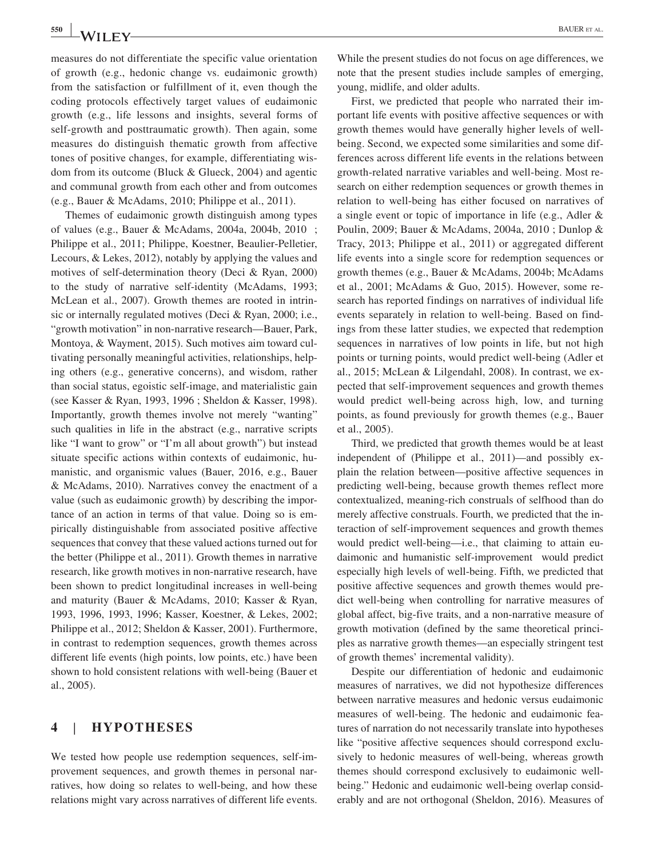measures do not differentiate the specific value orientation of growth (e.g., hedonic change vs. eudaimonic growth) from the satisfaction or fulfillment of it, even though the coding protocols effectively target values of eudaimonic growth (e.g., life lessons and insights, several forms of self-growth and posttraumatic growth). Then again, some measures do distinguish thematic growth from affective tones of positive changes, for example, differentiating wisdom from its outcome (Bluck & Glueck, 2004) and agentic and communal growth from each other and from outcomes (e.g., Bauer & McAdams, 2010; Philippe et al., 2011).

Themes of eudaimonic growth distinguish among types of values (e.g., Bauer & McAdams, 2004a, 2004b, 2010 ; Philippe et al., 2011; Philippe, Koestner, Beaulier‐Pelletier, Lecours, & Lekes, 2012), notably by applying the values and motives of self‐determination theory (Deci & Ryan, 2000) to the study of narrative self‐identity (McAdams, 1993; McLean et al., 2007). Growth themes are rooted in intrinsic or internally regulated motives (Deci & Ryan, 2000; i.e., "growth motivation" in non‐narrative research—Bauer, Park, Montoya, & Wayment, 2015). Such motives aim toward cultivating personally meaningful activities, relationships, helping others (e.g., generative concerns), and wisdom, rather than social status, egoistic self‐image, and materialistic gain (see Kasser & Ryan, 1993, 1996 ; Sheldon & Kasser, 1998). Importantly, growth themes involve not merely "wanting" such qualities in life in the abstract (e.g., narrative scripts like "I want to grow" or "I'm all about growth") but instead situate specific actions within contexts of eudaimonic, humanistic, and organismic values (Bauer, 2016, e.g., Bauer & McAdams, 2010). Narratives convey the enactment of a value (such as eudaimonic growth) by describing the importance of an action in terms of that value. Doing so is empirically distinguishable from associated positive affective sequences that convey that these valued actions turned out for the better (Philippe et al., 2011). Growth themes in narrative research, like growth motives in non‐narrative research, have been shown to predict longitudinal increases in well-being and maturity (Bauer & McAdams, 2010; Kasser & Ryan, 1993, 1996, 1993, 1996; Kasser, Koestner, & Lekes, 2002; Philippe et al., 2012; Sheldon & Kasser, 2001). Furthermore, in contrast to redemption sequences, growth themes across different life events (high points, low points, etc.) have been shown to hold consistent relations with well‐being (Bauer et al., 2005).

# **4** | **HYPOTHESES**

We tested how people use redemption sequences, self-improvement sequences, and growth themes in personal narratives, how doing so relates to well‐being, and how these relations might vary across narratives of different life events.

While the present studies do not focus on age differences, we note that the present studies include samples of emerging, young, midlife, and older adults.

First, we predicted that people who narrated their important life events with positive affective sequences or with growth themes would have generally higher levels of well‐ being. Second, we expected some similarities and some differences across different life events in the relations between growth‐related narrative variables and well‐being. Most research on either redemption sequences or growth themes in relation to well‐being has either focused on narratives of a single event or topic of importance in life (e.g., Adler & Poulin, 2009; Bauer & McAdams, 2004a, 2010 ; Dunlop & Tracy, 2013; Philippe et al., 2011) or aggregated different life events into a single score for redemption sequences or growth themes (e.g., Bauer & McAdams, 2004b; McAdams et al., 2001; McAdams & Guo, 2015). However, some research has reported findings on narratives of individual life events separately in relation to well‐being. Based on findings from these latter studies, we expected that redemption sequences in narratives of low points in life, but not high points or turning points, would predict well‐being (Adler et al., 2015; McLean & Lilgendahl, 2008). In contrast, we expected that self‐improvement sequences and growth themes would predict well‐being across high, low, and turning points, as found previously for growth themes (e.g., Bauer et al., 2005).

Third, we predicted that growth themes would be at least independent of (Philippe et al., 2011)—and possibly explain the relation between—positive affective sequences in predicting well‐being, because growth themes reflect more contextualized, meaning‐rich construals of selfhood than do merely affective construals. Fourth, we predicted that the interaction of self‐improvement sequences and growth themes would predict well-being—i.e., that claiming to attain eudaimonic and humanistic self‐improvement would predict especially high levels of well‐being. Fifth, we predicted that positive affective sequences and growth themes would predict well‐being when controlling for narrative measures of global affect, big‐five traits, and a non‐narrative measure of growth motivation (defined by the same theoretical principles as narrative growth themes—an especially stringent test of growth themes' incremental validity).

Despite our differentiation of hedonic and eudaimonic measures of narratives, we did not hypothesize differences between narrative measures and hedonic versus eudaimonic measures of well‐being. The hedonic and eudaimonic features of narration do not necessarily translate into hypotheses like "positive affective sequences should correspond exclusively to hedonic measures of well-being, whereas growth themes should correspond exclusively to eudaimonic well‐ being." Hedonic and eudaimonic well-being overlap considerably and are not orthogonal (Sheldon, 2016). Measures of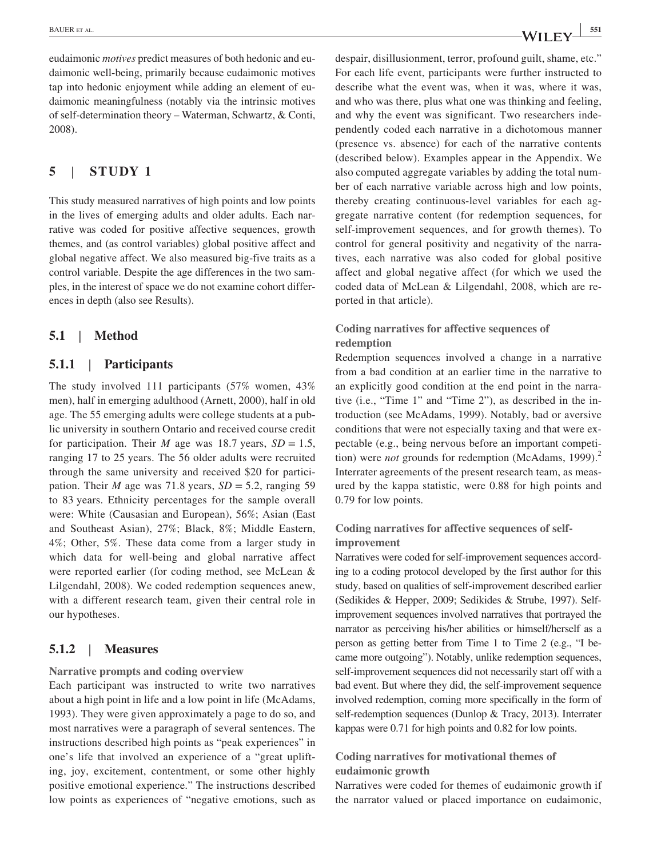eudaimonic *motives* predict measures of both hedonic and eudaimonic well‐being, primarily because eudaimonic motives tap into hedonic enjoyment while adding an element of eudaimonic meaningfulness (notably via the intrinsic motives of self‐determination theory – Waterman, Schwartz, & Conti, 2008).

# **5** | **STUDY 1**

This study measured narratives of high points and low points in the lives of emerging adults and older adults. Each narrative was coded for positive affective sequences, growth themes, and (as control variables) global positive affect and global negative affect. We also measured big‐five traits as a control variable. Despite the age differences in the two samples, in the interest of space we do not examine cohort differences in depth (also see Results).

## **5.1** | **Method**

# **5.1.1** | **Participants**

The study involved 111 participants (57% women, 43% men), half in emerging adulthood (Arnett, 2000), half in old age. The 55 emerging adults were college students at a public university in southern Ontario and received course credit for participation. Their *M* age was 18.7 years,  $SD = 1.5$ , ranging 17 to 25 years. The 56 older adults were recruited through the same university and received \$20 for participation. Their *M* age was 71.8 years,  $SD = 5.2$ , ranging 59 to 83 years. Ethnicity percentages for the sample overall were: White (Causasian and European), 56%; Asian (East and Southeast Asian), 27%; Black, 8%; Middle Eastern, 4%; Other, 5%. These data come from a larger study in which data for well-being and global narrative affect were reported earlier (for coding method, see McLean & Lilgendahl, 2008). We coded redemption sequences anew, with a different research team, given their central role in our hypotheses.

## **5.1.2** | **Measures**

#### **Narrative prompts and coding overview**

Each participant was instructed to write two narratives about a high point in life and a low point in life (McAdams, 1993). They were given approximately a page to do so, and most narratives were a paragraph of several sentences. The instructions described high points as "peak experiences" in one's life that involved an experience of a "great uplifting, joy, excitement, contentment, or some other highly positive emotional experience." The instructions described low points as experiences of "negative emotions, such as despair, disillusionment, terror, profound guilt, shame, etc." For each life event, participants were further instructed to describe what the event was, when it was, where it was, and who was there, plus what one was thinking and feeling, and why the event was significant. Two researchers independently coded each narrative in a dichotomous manner (presence vs. absence) for each of the narrative contents (described below). Examples appear in the Appendix. We also computed aggregate variables by adding the total number of each narrative variable across high and low points, thereby creating continuous‐level variables for each aggregate narrative content (for redemption sequences, for self-improvement sequences, and for growth themes). To control for general positivity and negativity of the narratives, each narrative was also coded for global positive affect and global negative affect (for which we used the coded data of McLean & Lilgendahl, 2008, which are reported in that article).

# **Coding narratives for affective sequences of redemption**

Redemption sequences involved a change in a narrative from a bad condition at an earlier time in the narrative to an explicitly good condition at the end point in the narrative (i.e., "Time 1" and "Time 2"), as described in the introduction (see McAdams, 1999). Notably, bad or aversive conditions that were not especially taxing and that were expectable (e.g., being nervous before an important competition) were *not* grounds for redemption (McAdams, 1999).<sup>2</sup> Interrater agreements of the present research team, as measured by the kappa statistic, were 0.88 for high points and 0.79 for low points.

# **Coding narratives for affective sequences of self‐ improvement**

Narratives were coded for self‐improvement sequences according to a coding protocol developed by the first author for this study, based on qualities of self‐improvement described earlier (Sedikides & Hepper, 2009; Sedikides & Strube, 1997). Self‐ improvement sequences involved narratives that portrayed the narrator as perceiving his/her abilities or himself/herself as a person as getting better from Time 1 to Time 2 (e.g., "I became more outgoing"). Notably, unlike redemption sequences, self-improvement sequences did not necessarily start off with a bad event. But where they did, the self‐improvement sequence involved redemption, coming more specifically in the form of self-redemption sequences (Dunlop & Tracy, 2013). Interrater kappas were 0.71 for high points and 0.82 for low points.

## **Coding narratives for motivational themes of eudaimonic growth**

Narratives were coded for themes of eudaimonic growth if the narrator valued or placed importance on eudaimonic,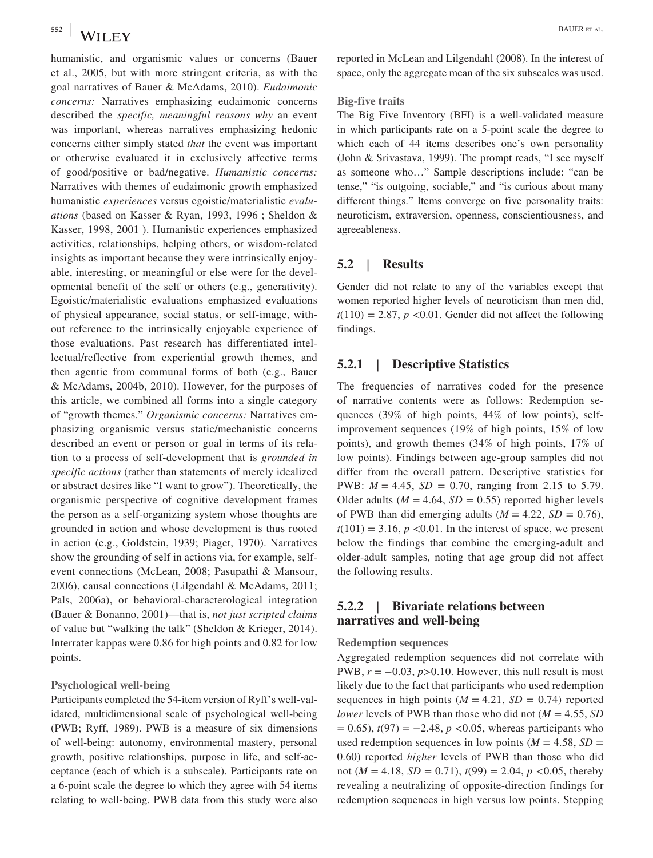humanistic, and organismic values or concerns (Bauer et al., 2005, but with more stringent criteria, as with the goal narratives of Bauer & McAdams, 2010). *Eudaimonic concerns:* Narratives emphasizing eudaimonic concerns described the *specific, meaningful reasons why* an event was important, whereas narratives emphasizing hedonic concerns either simply stated *that* the event was important or otherwise evaluated it in exclusively affective terms of good/positive or bad/negative. *Humanistic concerns:*  Narratives with themes of eudaimonic growth emphasized humanistic *experiences* versus egoistic/materialistic *evaluations* (based on Kasser & Ryan, 1993, 1996 ; Sheldon & Kasser, 1998, 2001 ). Humanistic experiences emphasized activities, relationships, helping others, or wisdom‐related insights as important because they were intrinsically enjoyable, interesting, or meaningful or else were for the developmental benefit of the self or others (e.g., generativity). Egoistic/materialistic evaluations emphasized evaluations of physical appearance, social status, or self‐image, without reference to the intrinsically enjoyable experience of those evaluations. Past research has differentiated intellectual/reflective from experiential growth themes, and then agentic from communal forms of both (e.g., Bauer & McAdams, 2004b, 2010). However, for the purposes of this article, we combined all forms into a single category of "growth themes." *Organismic concerns:* Narratives emphasizing organismic versus static/mechanistic concerns described an event or person or goal in terms of its relation to a process of self‐development that is *grounded in specific actions* (rather than statements of merely idealized or abstract desires like "I want to grow"). Theoretically, the organismic perspective of cognitive development frames the person as a self‐organizing system whose thoughts are grounded in action and whose development is thus rooted in action (e.g., Goldstein, 1939; Piaget, 1970). Narratives show the grounding of self in actions via, for example, self‐ event connections (McLean, 2008; Pasupathi & Mansour, 2006), causal connections (Lilgendahl & McAdams, 2011; Pals, 2006a), or behavioral‐characterological integration (Bauer & Bonanno, 2001)—that is, *not just scripted claims*  of value but "walking the talk" (Sheldon & Krieger, 2014). Interrater kappas were 0.86 for high points and 0.82 for low points.

#### **Psychological well‐being**

Participants completed the 54‐item version of Ryff's well‐validated, multidimensional scale of psychological well‐being (PWB; Ryff, 1989). PWB is a measure of six dimensions of well‐being: autonomy, environmental mastery, personal growth, positive relationships, purpose in life, and self‐acceptance (each of which is a subscale). Participants rate on a 6‐point scale the degree to which they agree with 54 items relating to well‐being. PWB data from this study were also

reported in McLean and Lilgendahl (2008). In the interest of space, only the aggregate mean of the six subscales was used.

#### **Big‐five traits**

The Big Five Inventory (BFI) is a well-validated measure in which participants rate on a 5‐point scale the degree to which each of 44 items describes one's own personality (John & Srivastava, 1999). The prompt reads, "I see myself as someone who…" Sample descriptions include: "can be tense," "is outgoing, sociable," and "is curious about many different things." Items converge on five personality traits: neuroticism, extraversion, openness, conscientiousness, and agreeableness.

## **5.2** | **Results**

Gender did not relate to any of the variables except that women reported higher levels of neuroticism than men did,  $t(110) = 2.87$ ,  $p \le 0.01$ . Gender did not affect the following findings.

## **5.2.1** | **Descriptive Statistics**

The frequencies of narratives coded for the presence of narrative contents were as follows: Redemption sequences (39% of high points, 44% of low points), self‐ improvement sequences (19% of high points, 15% of low points), and growth themes (34% of high points, 17% of low points). Findings between age‐group samples did not differ from the overall pattern. Descriptive statistics for PWB:  $M = 4.45$ ,  $SD = 0.70$ , ranging from 2.15 to 5.79. Older adults ( $M = 4.64$ ,  $SD = 0.55$ ) reported higher levels of PWB than did emerging adults  $(M = 4.22, SD = 0.76)$ ,  $t(101) = 3.16$ ,  $p \le 0.01$ . In the interest of space, we present below the findings that combine the emerging‐adult and older‐adult samples, noting that age group did not affect the following results.

## **5.2.2** | **Bivariate relations between narratives and well‐being**

#### **Redemption sequences**

Aggregated redemption sequences did not correlate with PWB,  $r = -0.03$ ,  $p > 0.10$ . However, this null result is most likely due to the fact that participants who used redemption sequences in high points  $(M = 4.21, SD = 0.74)$  reported *lower* levels of PWB than those who did not ( $M = 4.55$ , *SD*  $= 0.65$ ),  $t(97) = -2.48$ ,  $p < 0.05$ , whereas participants who used redemption sequences in low points ( $M = 4.58$ ,  $SD =$ 0.60) reported *higher* levels of PWB than those who did not ( $M = 4.18$ ,  $SD = 0.71$ ),  $t(99) = 2.04$ ,  $p < 0.05$ , thereby revealing a neutralizing of opposite‐direction findings for redemption sequences in high versus low points. Stepping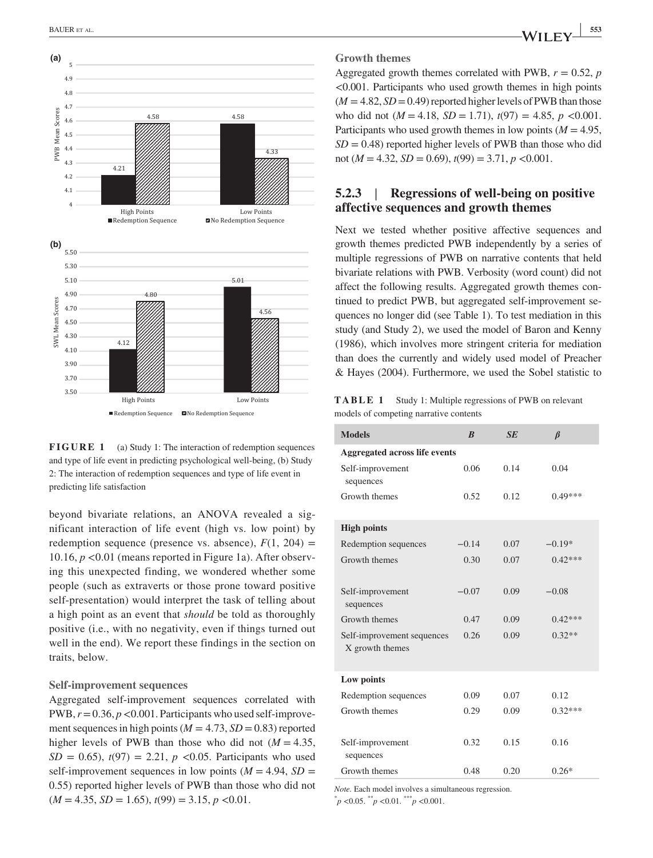

**FIGURE 1** (a) Study 1: The interaction of redemption sequences and type of life event in predicting psychological well‐being, (b) Study 2: The interaction of redemption sequences and type of life event in predicting life satisfaction

beyond bivariate relations, an ANOVA revealed a significant interaction of life event (high vs. low point) by redemption sequence (presence vs. absence),  $F(1, 204) =$ 10.16,  $p < 0.01$  (means reported in Figure 1a). After observing this unexpected finding, we wondered whether some people (such as extraverts or those prone toward positive self-presentation) would interpret the task of telling about a high point as an event that *should* be told as thoroughly positive (i.e., with no negativity, even if things turned out well in the end). We report these findings in the section on traits, below.

#### **Self‐improvement sequences**

Aggregated self‐improvement sequences correlated with PWB,  $r = 0.36$ ,  $p < 0.001$ . Participants who used self-improvement sequences in high points ( $M = 4.73$ ,  $SD = 0.83$ ) reported higher levels of PWB than those who did not  $(M = 4.35,$  $SD = 0.65$ ,  $t(97) = 2.21$ ,  $p \le 0.05$ . Participants who used self-improvement sequences in low points  $(M = 4.94, SD =$ 0.55) reported higher levels of PWB than those who did not  $(M = 4.35, SD = 1.65), t(99) = 3.15, p < 0.01.$ 

Aggregated growth themes correlated with PWB,  $r = 0.52$ , *p* <0.001. Participants who used growth themes in high points  $(M = 4.82, SD = 0.49)$  reported higher levels of PWB than those who did not  $(M = 4.18, SD = 1.71), t(97) = 4.85, p < 0.001$ . Participants who used growth themes in low points  $(M = 4.95$ ,  $SD = 0.48$ ) reported higher levels of PWB than those who did not ( $M = 4.32$ ,  $SD = 0.69$ ),  $t(99) = 3.71$ ,  $p < 0.001$ .

## **5.2.3** | **Regressions of well‐being on positive affective sequences and growth themes**

Next we tested whether positive affective sequences and growth themes predicted PWB independently by a series of multiple regressions of PWB on narrative contents that held bivariate relations with PWB. Verbosity (word count) did not affect the following results. Aggregated growth themes continued to predict PWB, but aggregated self‐improvement sequences no longer did (see Table 1). To test mediation in this study (and Study 2), we used the model of Baron and Kenny (1986), which involves more stringent criteria for mediation than does the currently and widely used model of Preacher & Hayes (2004). Furthermore, we used the Sobel statistic to

**TABLE 1** Study 1: Multiple regressions of PWB on relevant models of competing narrative contents

| <b>Models</b>                                 | $\boldsymbol{B}$ | SE   | $\beta$   |
|-----------------------------------------------|------------------|------|-----------|
| Aggregated across life events                 |                  |      |           |
| Self-improvement<br>sequences                 | 0.06             | 0.14 | 0.04      |
| Growth themes                                 | 0.52             | 0.12 | $0.49***$ |
| <b>High points</b>                            |                  |      |           |
| Redemption sequences                          | $-0.14$          | 0.07 | $-0.19*$  |
| Growth themes                                 | 0.30             | 0.07 | $0.42***$ |
|                                               |                  |      |           |
| Self-improvement<br>sequences                 | $-0.07$          | 0.09 | $-0.08$   |
| Growth themes                                 | 0.47             | 0.09 | $0.42***$ |
| Self-improvement sequences<br>X growth themes | 0.26             | 0.09 | $0.32**$  |
| Low points                                    |                  |      |           |
| Redemption sequences                          | 0.09             | 0.07 | 0.12      |
| Growth themes                                 | 0.29             | 0.09 | $0.32***$ |
|                                               |                  |      |           |
| Self-improvement                              | 0.32             | 0.15 | 0.16      |
| sequences                                     |                  |      |           |
| Growth themes                                 | 0.48             | 0.20 | $0.26*$   |

*Note.* Each model involves a simultaneous regression. \* *p* <0.05. \*\**p* <0.01. \*\*\**p* <0.001.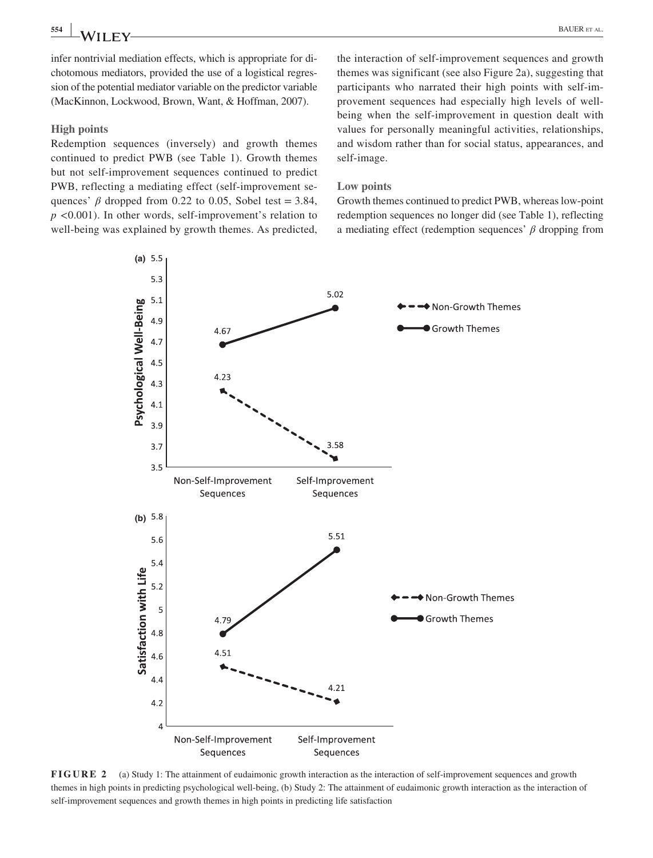infer nontrivial mediation effects, which is appropriate for dichotomous mediators, provided the use of a logistical regression of the potential mediator variable on the predictor variable (MacKinnon, Lockwood, Brown, Want, & Hoffman, 2007).

#### **High points**

Redemption sequences (inversely) and growth themes continued to predict PWB (see Table 1). Growth themes but not self‐improvement sequences continued to predict PWB, reflecting a mediating effect (self‐improvement sequences'  $\beta$  dropped from 0.22 to 0.05, Sobel test = 3.84, *p* <0.001). In other words, self-improvement's relation to well-being was explained by growth themes. As predicted,

the interaction of self‐improvement sequences and growth themes was significant (see also Figure 2a), suggesting that participants who narrated their high points with self‐improvement sequences had especially high levels of well‐ being when the self‐improvement in question dealt with values for personally meaningful activities, relationships, and wisdom rather than for social status, appearances, and self‐image.

## **Low points**

Growth themes continued to predict PWB, whereas low‐point redemption sequences no longer did (see Table 1), reflecting a mediating effect (redemption sequences' *β* dropping from



**FIGURE 2** (a) Study 1: The attainment of eudaimonic growth interaction as the interaction of self-improvement sequences and growth themes in high points in predicting psychological well‐being, (b) Study 2: The attainment of eudaimonic growth interaction as the interaction of self-improvement sequences and growth themes in high points in predicting life satisfaction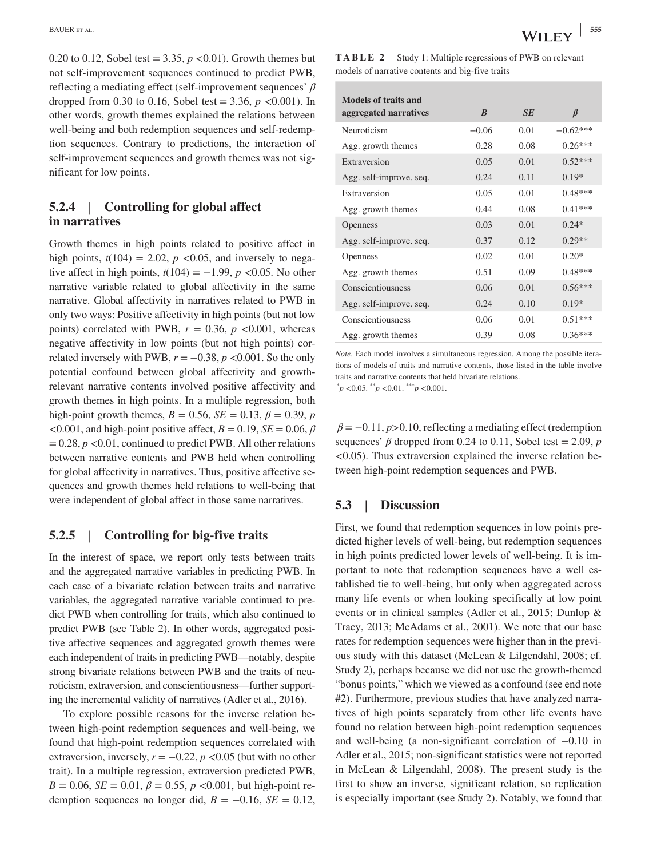0.20 to 0.12, Sobel test =  $3.35, p < 0.01$ ). Growth themes but not self‐improvement sequences continued to predict PWB, reflecting a mediating effect (self‐improvement sequences' *β* dropped from 0.30 to 0.16, Sobel test =  $3.36, p \lt 0.001$ ). In other words, growth themes explained the relations between well-being and both redemption sequences and self-redemption sequences. Contrary to predictions, the interaction of self-improvement sequences and growth themes was not significant for low points.

# **5.2.4** | **Controlling for global affect in narratives**

Growth themes in high points related to positive affect in high points,  $t(104) = 2.02$ ,  $p \lt 0.05$ , and inversely to negative affect in high points,  $t(104) = -1.99$ ,  $p < 0.05$ . No other narrative variable related to global affectivity in the same narrative. Global affectivity in narratives related to PWB in only two ways: Positive affectivity in high points (but not low points) correlated with PWB,  $r = 0.36$ ,  $p < 0.001$ , whereas negative affectivity in low points (but not high points) correlated inversely with PWB,  $r = -0.38$ ,  $p < 0.001$ . So the only potential confound between global affectivity and growth‐ relevant narrative contents involved positive affectivity and growth themes in high points. In a multiple regression, both high-point growth themes,  $B = 0.56$ ,  $SE = 0.13$ ,  $\beta = 0.39$ , *p*  $<0.001$ , and high-point positive affect,  $B = 0.19$ ,  $SE = 0.06$ ,  $\beta$  $= 0.28, p < 0.01$ , continued to predict PWB. All other relations between narrative contents and PWB held when controlling for global affectivity in narratives. Thus, positive affective sequences and growth themes held relations to well‐being that were independent of global affect in those same narratives.

## **5.2.5** | **Controlling for big‐five traits**

In the interest of space, we report only tests between traits and the aggregated narrative variables in predicting PWB. In each case of a bivariate relation between traits and narrative variables, the aggregated narrative variable continued to predict PWB when controlling for traits, which also continued to predict PWB (see Table 2). In other words, aggregated positive affective sequences and aggregated growth themes were each independent of traits in predicting PWB—notably, despite strong bivariate relations between PWB and the traits of neuroticism, extraversion, and conscientiousness—further supporting the incremental validity of narratives (Adler et al., 2016).

To explore possible reasons for the inverse relation between high‐point redemption sequences and well‐being, we found that high‐point redemption sequences correlated with extraversion, inversely,  $r = -0.22$ ,  $p < 0.05$  (but with no other trait). In a multiple regression, extraversion predicted PWB,  $B = 0.06$ ,  $SE = 0.01$ ,  $\beta = 0.55$ ,  $p < 0.001$ , but high-point redemption sequences no longer did,  $B = -0.16$ ,  $SE = 0.12$ , **TABLE 2** Study 1: Multiple regressions of PWB on relevant models of narrative contents and big‐five traits

| <b>Models of traits and</b> |                  |           |            |
|-----------------------------|------------------|-----------|------------|
| aggregated narratives       | $\boldsymbol{B}$ | <b>SE</b> | $\beta$    |
| Neuroticism                 | $-0.06$          | 0.01      | $-0.62***$ |
| Agg. growth themes          | 0.28             | 0.08      | $0.26***$  |
| Extraversion                | 0.05             | 0.01      | $0.52***$  |
| Agg. self-improve. seq.     | 0.24             | 0.11      | $0.19*$    |
| Extraversion                | 0.05             | 0.01      | $0.48***$  |
| Agg. growth themes          | 0.44             | 0.08      | $0.41***$  |
| <b>Openness</b>             | 0.03             | 0.01      | $0.24*$    |
| Agg. self-improve. seq.     | 0.37             | 0.12      | $0.29**$   |
| <b>Openness</b>             | 0.02             | 0.01      | $0.20*$    |
| Agg. growth themes          | 0.51             | 0.09      | $0.48***$  |
| Conscientiousness           | 0.06             | 0.01      | $0.56***$  |
| Agg. self-improve. seq.     | 0.24             | 0.10      | $0.19*$    |
| Conscientiousness           | 0.06             | 0.01      | $0.51***$  |
| Agg. growth themes          | 0.39             | 0.08      | $0.36***$  |

*Note*. Each model involves a simultaneous regression. Among the possible iterations of models of traits and narrative contents, those listed in the table involve traits and narrative contents that held bivariate relations.

 $^{*}p$  <0.05.  $^{*}p$  <0.01.  $^{***}p$  <0.001.

 $\beta = -0.11, p > 0.10$ , reflecting a mediating effect (redemption sequences'  $\beta$  dropped from 0.24 to 0.11, Sobel test = 2.09, *p*  $\leq$ 0.05). Thus extraversion explained the inverse relation between high‐point redemption sequences and PWB.

### **5.3** | **Discussion**

First, we found that redemption sequences in low points predicted higher levels of well‐being, but redemption sequences in high points predicted lower levels of well-being. It is important to note that redemption sequences have a well established tie to well‐being, but only when aggregated across many life events or when looking specifically at low point events or in clinical samples (Adler et al., 2015; Dunlop & Tracy, 2013; McAdams et al., 2001). We note that our base rates for redemption sequences were higher than in the previous study with this dataset (McLean & Lilgendahl, 2008; cf. Study 2), perhaps because we did not use the growth‐themed "bonus points," which we viewed as a confound (see end note #2). Furthermore, previous studies that have analyzed narratives of high points separately from other life events have found no relation between high‐point redemption sequences and well‐being (a non‐significant correlation of −0.10 in Adler et al., 2015; non‐significant statistics were not reported in McLean & Lilgendahl, 2008). The present study is the first to show an inverse, significant relation, so replication is especially important (see Study 2). Notably, we found that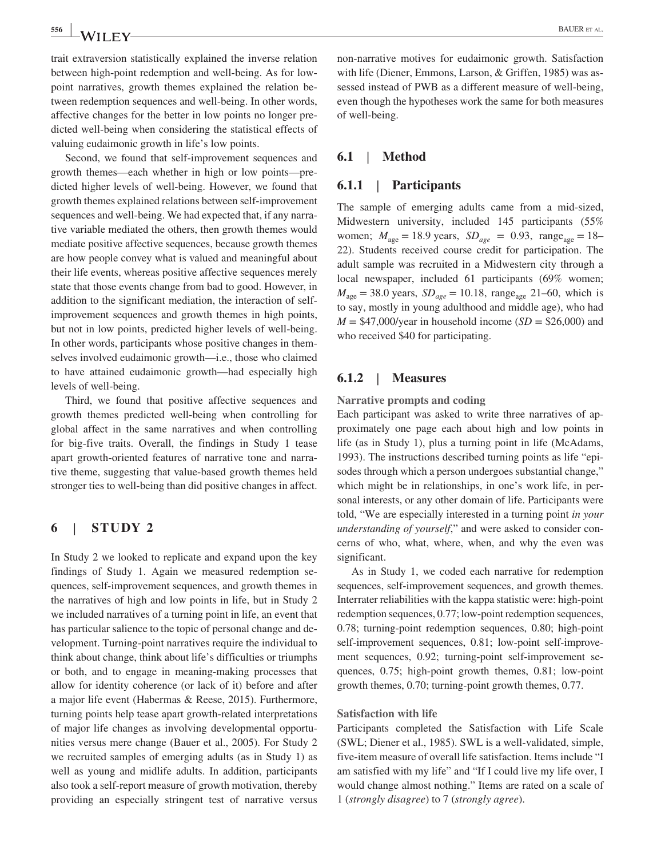trait extraversion statistically explained the inverse relation between high-point redemption and well-being. As for lowpoint narratives, growth themes explained the relation between redemption sequences and well‐being. In other words, affective changes for the better in low points no longer predicted well‐being when considering the statistical effects of valuing eudaimonic growth in life's low points.

Second, we found that self‐improvement sequences and growth themes—each whether in high or low points—predicted higher levels of well‐being. However, we found that growth themes explained relations between self‐improvement sequences and well-being. We had expected that, if any narrative variable mediated the others, then growth themes would mediate positive affective sequences, because growth themes are how people convey what is valued and meaningful about their life events, whereas positive affective sequences merely state that those events change from bad to good. However, in addition to the significant mediation, the interaction of self‐ improvement sequences and growth themes in high points, but not in low points, predicted higher levels of well‐being. In other words, participants whose positive changes in themselves involved eudaimonic growth—i.e., those who claimed to have attained eudaimonic growth—had especially high levels of well‐being.

Third, we found that positive affective sequences and growth themes predicted well‐being when controlling for global affect in the same narratives and when controlling for big‐five traits. Overall, the findings in Study 1 tease apart growth‐oriented features of narrative tone and narrative theme, suggesting that value‐based growth themes held stronger ties to well‐being than did positive changes in affect.

## **6** | **STUDY 2**

In Study 2 we looked to replicate and expand upon the key findings of Study 1. Again we measured redemption sequences, self‐improvement sequences, and growth themes in the narratives of high and low points in life, but in Study 2 we included narratives of a turning point in life, an event that has particular salience to the topic of personal change and development. Turning‐point narratives require the individual to think about change, think about life's difficulties or triumphs or both, and to engage in meaning‐making processes that allow for identity coherence (or lack of it) before and after a major life event (Habermas & Reese, 2015). Furthermore, turning points help tease apart growth‐related interpretations of major life changes as involving developmental opportunities versus mere change (Bauer et al., 2005). For Study 2 we recruited samples of emerging adults (as in Study 1) as well as young and midlife adults. In addition, participants also took a self‐report measure of growth motivation, thereby providing an especially stringent test of narrative versus non‐narrative motives for eudaimonic growth. Satisfaction with life (Diener, Emmons, Larson, & Griffen, 1985) was assessed instead of PWB as a different measure of well-being, even though the hypotheses work the same for both measures of well‐being.

## **6.1** | **Method**

## **6.1.1** | **Participants**

The sample of emerging adults came from a mid‐sized, Midwestern university, included 145 participants (55% women;  $M_{\text{age}} = 18.9 \text{ years}, SD_{\text{age}} = 0.93, \text{ range}_{\text{age}} = 18 -$ 22). Students received course credit for participation. The adult sample was recruited in a Midwestern city through a local newspaper, included 61 participants (69% women;  $M_{\text{age}} = 38.0$  years,  $SD_{\text{age}} = 10.18$ , range<sub>age</sub> 21–60, which is to say, mostly in young adulthood and middle age), who had  $M = $47,000/\text{year}$  in household income  $(SD = $26,000)$  and who received \$40 for participating.

### **6.1.2** | **Measures**

**Narrative prompts and coding**

Each participant was asked to write three narratives of approximately one page each about high and low points in life (as in Study 1), plus a turning point in life (McAdams, 1993). The instructions described turning points as life "episodes through which a person undergoes substantial change," which might be in relationships, in one's work life, in personal interests, or any other domain of life. Participants were told, "We are especially interested in a turning point *in your understanding of yourself*," and were asked to consider concerns of who, what, where, when, and why the even was significant.

As in Study 1, we coded each narrative for redemption sequences, self-improvement sequences, and growth themes. Interrater reliabilities with the kappa statistic were: high‐point redemption sequences, 0.77; low-point redemption sequences, 0.78; turning‐point redemption sequences, 0.80; high‐point self-improvement sequences, 0.81; low-point self-improvement sequences, 0.92; turning‐point self‐improvement sequences, 0.75; high-point growth themes, 0.81; low-point growth themes, 0.70; turning‐point growth themes, 0.77.

#### **Satisfaction with life**

Participants completed the Satisfaction with Life Scale (SWL; Diener et al., 1985). SWL is a well‐validated, simple, five‐item measure of overall life satisfaction. Items include "I am satisfied with my life" and "If I could live my life over, I would change almost nothing." Items are rated on a scale of 1 (*strongly disagree*) to 7 (*strongly agree*).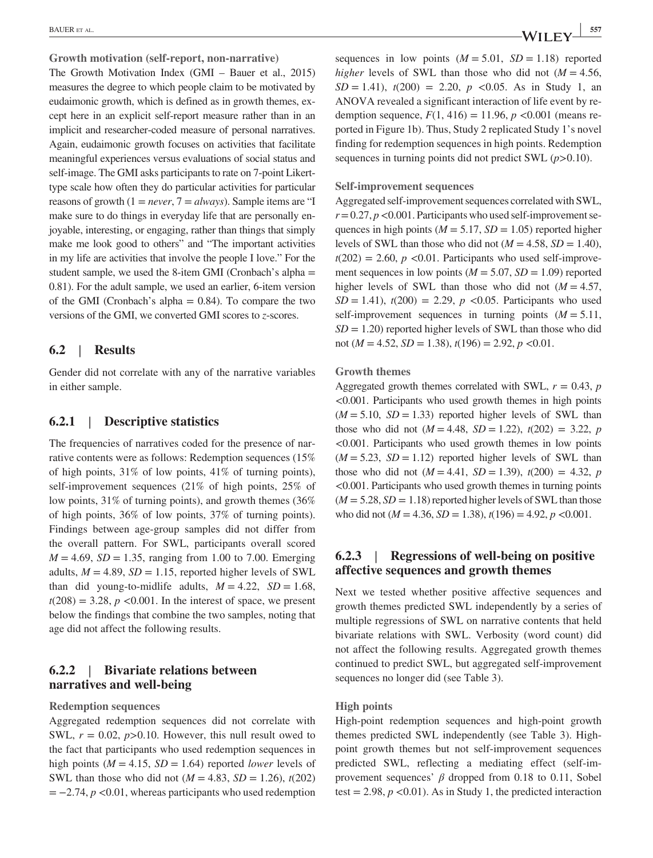**Growth motivation (self‐report, non‐narrative)**

The Growth Motivation Index (GMI – Bauer et al., 2015) measures the degree to which people claim to be motivated by eudaimonic growth, which is defined as in growth themes, except here in an explicit self‐report measure rather than in an implicit and researcher‐coded measure of personal narratives. Again, eudaimonic growth focuses on activities that facilitate meaningful experiences versus evaluations of social status and self-image. The GMI asks participants to rate on 7-point Likerttype scale how often they do particular activities for particular reasons of growth (1 = *never*, 7 = *always*). Sample items are "I make sure to do things in everyday life that are personally enjoyable, interesting, or engaging, rather than things that simply make me look good to others" and "The important activities in my life are activities that involve the people I love." For the student sample, we used the 8-item GMI (Cronbach's alpha = 0.81). For the adult sample, we used an earlier, 6‐item version of the GMI (Cronbach's alpha  $= 0.84$ ). To compare the two versions of the GMI, we converted GMI scores to *z*‐scores.

## **6.2** | **Results**

Gender did not correlate with any of the narrative variables in either sample.

### **6.2.1** | **Descriptive statistics**

The frequencies of narratives coded for the presence of narrative contents were as follows: Redemption sequences (15% of high points, 31% of low points, 41% of turning points), self-improvement sequences (21% of high points, 25% of low points, 31% of turning points), and growth themes (36% of high points, 36% of low points, 37% of turning points). Findings between age‐group samples did not differ from the overall pattern. For SWL, participants overall scored  $M = 4.69$ ,  $SD = 1.35$ , ranging from 1.00 to 7.00. Emerging adults,  $M = 4.89$ ,  $SD = 1.15$ , reported higher levels of SWL than did young-to-midlife adults,  $M = 4.22$ ,  $SD = 1.68$ ,  $t(208) = 3.28$ ,  $p \le 0.001$ . In the interest of space, we present below the findings that combine the two samples, noting that age did not affect the following results.

# **6.2.2** | **Bivariate relations between narratives and well‐being**

**Redemption sequences**

Aggregated redemption sequences did not correlate with SWL,  $r = 0.02$ ,  $p > 0.10$ . However, this null result owed to the fact that participants who used redemption sequences in high points ( $M = 4.15$ ,  $SD = 1.64$ ) reported *lower* levels of SWL than those who did not ( $M = 4.83$ ,  $SD = 1.26$ ),  $t(202)$  $= -2.74$ ,  $p \le 0.01$ , whereas participants who used redemption

sequences in low points  $(M = 5.01, SD = 1.18)$  reported *higher* levels of SWL than those who did not  $(M = 4.56$ ,  $SD = 1.41$ ,  $t(200) = 2.20$ ,  $p \le 0.05$ . As in Study 1, an ANOVA revealed a significant interaction of life event by redemption sequence,  $F(1, 416) = 11.96$ ,  $p < 0.001$  (means reported in Figure 1b). Thus, Study 2 replicated Study 1's novel finding for redemption sequences in high points. Redemption sequences in turning points did not predict SWL (*p*>0.10).

#### **Self‐improvement sequences**

Aggregated self‐improvement sequences correlated with SWL,  $r = 0.27$ ,  $p < 0.001$ . Participants who used self-improvement sequences in high points ( $M = 5.17$ ,  $SD = 1.05$ ) reported higher levels of SWL than those who did not ( $M = 4.58$ ,  $SD = 1.40$ ),  $t(202) = 2.60$ ,  $p < 0.01$ . Participants who used self-improvement sequences in low points  $(M = 5.07, SD = 1.09)$  reported higher levels of SWL than those who did not  $(M = 4.57$ ,  $SD = 1.41$ ,  $t(200) = 2.29$ ,  $p < 0.05$ . Participants who used self-improvement sequences in turning points  $(M = 5.11$ ,  $SD = 1.20$ ) reported higher levels of SWL than those who did not (*M* = 4.52, *SD* = 1.38), *t*(196) = 2.92, *p* <0.01.

#### **Growth themes**

Aggregated growth themes correlated with SWL,  $r = 0.43$ ,  $p$ <0.001. Participants who used growth themes in high points  $(M = 5.10, SD = 1.33)$  reported higher levels of SWL than those who did not  $(M = 4.48, SD = 1.22), t(202) = 3.22, p$ <0.001. Participants who used growth themes in low points  $(M = 5.23, SD = 1.12)$  reported higher levels of SWL than those who did not  $(M = 4.41, SD = 1.39)$ ,  $t(200) = 4.32, p$ <0.001. Participants who used growth themes in turning points  $(M = 5.28, SD = 1.18)$  reported higher levels of SWL than those who did not ( $M = 4.36$ ,  $SD = 1.38$ ),  $t(196) = 4.92$ ,  $p < 0.001$ .

# **6.2.3** | **Regressions of well‐being on positive affective sequences and growth themes**

Next we tested whether positive affective sequences and growth themes predicted SWL independently by a series of multiple regressions of SWL on narrative contents that held bivariate relations with SWL. Verbosity (word count) did not affect the following results. Aggregated growth themes continued to predict SWL, but aggregated self‐improvement sequences no longer did (see Table 3).

#### **High points**

High-point redemption sequences and high-point growth themes predicted SWL independently (see Table 3). High‐ point growth themes but not self‐improvement sequences predicted SWL, reflecting a mediating effect (self‐improvement sequences' *β* dropped from 0.18 to 0.11, Sobel test  $= 2.98$ ,  $p \le 0.01$ ). As in Study 1, the predicted interaction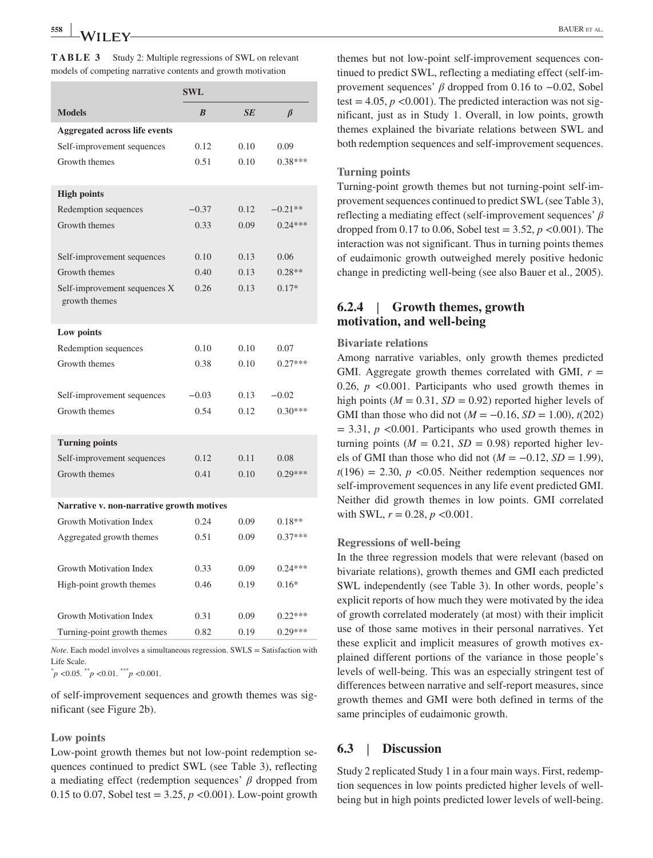|                                               | <b>SWL</b>       |      |           |
|-----------------------------------------------|------------------|------|-----------|
| <b>Models</b>                                 | $\boldsymbol{B}$ | SE   | $\beta$   |
| <b>Aggregated across life events</b>          |                  |      |           |
| Self-improvement sequences                    | 0.12             | 0.10 | 0.09      |
| Growth themes                                 | 0.51             | 0.10 | $0.38***$ |
| <b>High points</b>                            |                  |      |           |
| Redemption sequences                          | $-0.37$          | 0.12 | $-0.21**$ |
| Growth themes                                 | 0.33             | 0.09 | $0.24***$ |
| Self-improvement sequences                    | 0.10             | 0.13 | 0.06      |
| Growth themes                                 | 0.40             | 0.13 | $0.28**$  |
| Self-improvement sequences X<br>growth themes | 0.26             | 0.13 | $0.17*$   |
| Low points                                    |                  |      |           |
| Redemption sequences                          | 0.10             | 0.10 | 0.07      |
| Growth themes                                 | 0.38             | 0.10 | $0.27***$ |
| Self-improvement sequences                    | $-0.03$          | 0.13 | $-0.02$   |
| Growth themes                                 | 0.54             | 0.12 | $0.30***$ |
| <b>Turning points</b>                         |                  |      |           |
| Self-improvement sequences                    | 0.12             | 0.11 | 0.08      |
| Growth themes                                 | 0.41             | 0.10 | $0.29***$ |
| Narrative v. non-narrative growth motives     |                  |      |           |
| Growth Motivation Index                       | 0.24             | 0.09 | $0.18**$  |
| Aggregated growth themes                      | 0.51             | 0.09 | $0.37***$ |
| Growth Motivation Index                       | 0.33             | 0.09 | $0.24***$ |
| High-point growth themes                      | 0.46             | 0.19 | $0.16*$   |
| Growth Motivation Index                       | 0.31             | 0.09 | $0.22***$ |

**TABLE 3** Study 2: Multiple regressions of SWL on relevant

*Note*. Each model involves a simultaneous regression. SWLS = Satisfaction with Life Scale.

Turning-point growth themes  $0.82$  0.19  $0.29***$ 

\* *p* <0.05. \*\**p* <0.01. \*\*\**p* <0.001.

of self‐improvement sequences and growth themes was significant (see Figure 2b).

#### **Low points**

Low-point growth themes but not low-point redemption sequences continued to predict SWL (see Table 3), reflecting a mediating effect (redemption sequences' *β* dropped from 0.15 to 0.07, Sobel test =  $3.25, p < 0.001$ ). Low-point growth themes but not low‐point self‐improvement sequences continued to predict SWL, reflecting a mediating effect (self‐improvement sequences'  $\beta$  dropped from 0.16 to  $-0.02$ , Sobel test  $= 4.05$ ,  $p \le 0.001$ ). The predicted interaction was not significant, just as in Study 1. Overall, in low points, growth themes explained the bivariate relations between SWL and both redemption sequences and self-improvement sequences.

#### **Turning points**

Turning‐point growth themes but not turning‐point self‐improvement sequences continued to predict SWL (see Table 3), reflecting a mediating effect (self‐improvement sequences' *β* dropped from 0.17 to 0.06, Sobel test = 3.52, *p* <0.001). The interaction was not significant. Thus in turning points themes of eudaimonic growth outweighed merely positive hedonic change in predicting well‐being (see also Bauer et al., 2005).

# **6.2.4** | **Growth themes, growth motivation, and well‐being**

#### **Bivariate relations**

Among narrative variables, only growth themes predicted GMI. Aggregate growth themes correlated with GMI,  $r =$ 0.26,  $p \leq 0.001$ . Participants who used growth themes in high points ( $M = 0.31$ ,  $SD = 0.92$ ) reported higher levels of GMI than those who did not  $(M = -0.16, SD = 1.00)$ ,  $t(202)$  $= 3.31, p \le 0.001$ . Participants who used growth themes in turning points  $(M = 0.21, SD = 0.98)$  reported higher levels of GMI than those who did not  $(M = -0.12, SD = 1.99)$ ,  $t(196) = 2.30$ ,  $p \le 0.05$ . Neither redemption sequences nor self-improvement sequences in any life event predicted GMI. Neither did growth themes in low points. GMI correlated with SWL,  $r = 0.28$ ,  $p < 0.001$ .

#### **Regressions of well‐being**

In the three regression models that were relevant (based on bivariate relations), growth themes and GMI each predicted SWL independently (see Table 3). In other words, people's explicit reports of how much they were motivated by the idea of growth correlated moderately (at most) with their implicit use of those same motives in their personal narratives. Yet these explicit and implicit measures of growth motives explained different portions of the variance in those people's levels of well‐being. This was an especially stringent test of differences between narrative and self‐report measures, since growth themes and GMI were both defined in terms of the same principles of eudaimonic growth.

#### **6.3** | **Discussion**

Study 2 replicated Study 1 in a four main ways. First, redemption sequences in low points predicted higher levels of wellbeing but in high points predicted lower levels of well-being.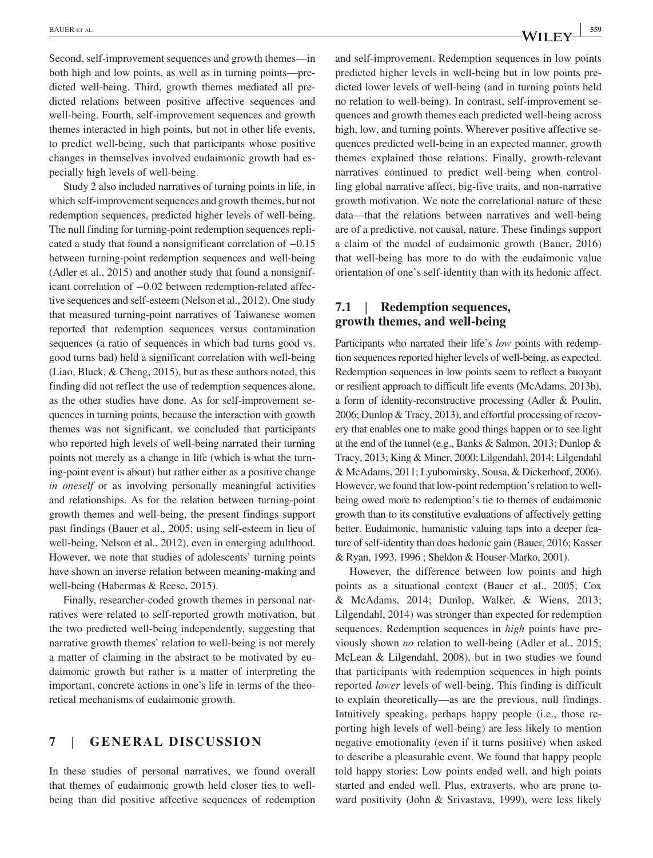Second, self-improvement sequences and growth themes—in both high and low points, as well as in turning points—predicted well-being. Third, growth themes mediated all predicted relations between positive affective sequences and well-being. Fourth, self-improvement sequences and growth themes interacted in high points, but not in other life events, to predict well‐being, such that participants whose positive changes in themselves involved eudaimonic growth had especially high levels of well‐being.

Study 2 also included narratives of turning points in life, in which self-improvement sequences and growth themes, but not redemption sequences, predicted higher levels of well‐being. The null finding for turning‐point redemption sequences replicated a study that found a nonsignificant correlation of −0.15 between turning‐point redemption sequences and well‐being (Adler et al., 2015) and another study that found a nonsignificant correlation of −0.02 between redemption‐related affective sequences and self‐esteem (Nelson et al., 2012). One study that measured turning‐point narratives of Taiwanese women reported that redemption sequences versus contamination sequences (a ratio of sequences in which bad turns good vs. good turns bad) held a significant correlation with well‐being (Liao, Bluck, & Cheng, 2015), but as these authors noted, this finding did not reflect the use of redemption sequences alone, as the other studies have done. As for self‐improvement sequences in turning points, because the interaction with growth themes was not significant, we concluded that participants who reported high levels of well-being narrated their turning points not merely as a change in life (which is what the turning‐point event is about) but rather either as a positive change *in oneself* or as involving personally meaningful activities and relationships. As for the relation between turning‐point growth themes and well‐being, the present findings support past findings (Bauer et al., 2005; using self‐esteem in lieu of well-being, Nelson et al., 2012), even in emerging adulthood. However, we note that studies of adolescents' turning points have shown an inverse relation between meaning-making and well-being (Habermas & Reese, 2015).

Finally, researcher-coded growth themes in personal narratives were related to self‐reported growth motivation, but the two predicted well‐being independently, suggesting that narrative growth themes' relation to well‐being is not merely a matter of claiming in the abstract to be motivated by eudaimonic growth but rather is a matter of interpreting the important, concrete actions in one's life in terms of the theoretical mechanisms of eudaimonic growth.

# **7** | **GENERAL DISCUSSION**

In these studies of personal narratives, we found overall that themes of eudaimonic growth held closer ties to wellbeing than did positive affective sequences of redemption and self‐improvement. Redemption sequences in low points predicted higher levels in well‐being but in low points predicted lower levels of well‐being (and in turning points held no relation to well‐being). In contrast, self‐improvement sequences and growth themes each predicted well‐being across high, low, and turning points. Wherever positive affective sequences predicted well‐being in an expected manner, growth themes explained those relations. Finally, growth‐relevant narratives continued to predict well‐being when controlling global narrative affect, big‐five traits, and non‐narrative growth motivation. We note the correlational nature of these data—that the relations between narratives and well‐being are of a predictive, not causal, nature. These findings support a claim of the model of eudaimonic growth (Bauer, 2016) that well‐being has more to do with the eudaimonic value orientation of one's self‐identity than with its hedonic affect.

# **7.1** | **Redemption sequences, growth themes, and well‐being**

Participants who narrated their life's *low* points with redemption sequences reported higher levels of well‐being, as expected. Redemption sequences in low points seem to reflect a buoyant or resilient approach to difficult life events (McAdams, 2013b), a form of identity‐reconstructive processing (Adler & Poulin, 2006; Dunlop & Tracy, 2013), and effortful processing of recovery that enables one to make good things happen or to see light at the end of the tunnel (e.g., Banks & Salmon, 2013; Dunlop & Tracy, 2013; King & Miner, 2000; Lilgendahl, 2014; Lilgendahl & McAdams, 2011; Lyubomirsky, Sousa, & Dickerhoof, 2006). However, we found that low-point redemption's relation to wellbeing owed more to redemption's tie to themes of eudaimonic growth than to its constitutive evaluations of affectively getting better. Eudaimonic, humanistic valuing taps into a deeper feature of self-identity than does hedonic gain (Bauer, 2016; Kasser & Ryan, 1993, 1996 ; Sheldon & Houser‐Marko, 2001).

However, the difference between low points and high points as a situational context (Bauer et al., 2005; Cox & McAdams, 2014; Dunlop, Walker, & Wiens, 2013; Lilgendahl, 2014) was stronger than expected for redemption sequences. Redemption sequences in *high* points have previously shown *no* relation to well-being (Adler et al., 2015; McLean & Lilgendahl, 2008), but in two studies we found that participants with redemption sequences in high points reported *lower* levels of well‐being. This finding is difficult to explain theoretically—as are the previous, null findings. Intuitively speaking, perhaps happy people (i.e., those reporting high levels of well‐being) are less likely to mention negative emotionality (even if it turns positive) when asked to describe a pleasurable event. We found that happy people told happy stories: Low points ended well, and high points started and ended well. Plus, extraverts, who are prone toward positivity (John & Srivastava, 1999), were less likely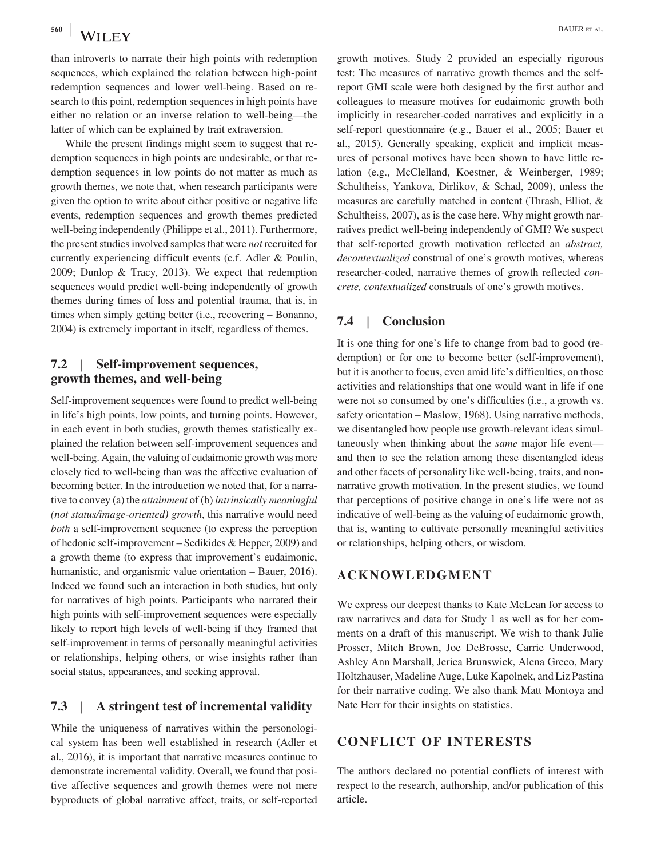than introverts to narrate their high points with redemption sequences, which explained the relation between high-point redemption sequences and lower well‐being. Based on research to this point, redemption sequences in high points have either no relation or an inverse relation to well‐being—the latter of which can be explained by trait extraversion.

While the present findings might seem to suggest that redemption sequences in high points are undesirable, or that redemption sequences in low points do not matter as much as growth themes, we note that, when research participants were given the option to write about either positive or negative life events, redemption sequences and growth themes predicted well-being independently (Philippe et al., 2011). Furthermore, the present studies involved samples that were *not* recruited for currently experiencing difficult events (c.f. Adler & Poulin, 2009; Dunlop & Tracy, 2013). We expect that redemption sequences would predict well-being independently of growth themes during times of loss and potential trauma, that is, in times when simply getting better (i.e., recovering – Bonanno, 2004) is extremely important in itself, regardless of themes.

# **7.2** | **Self‐improvement sequences, growth themes, and well‐being**

Self-improvement sequences were found to predict well-being in life's high points, low points, and turning points. However, in each event in both studies, growth themes statistically explained the relation between self‐improvement sequences and well-being. Again, the valuing of eudaimonic growth was more closely tied to well‐being than was the affective evaluation of becoming better. In the introduction we noted that, for a narrative to convey (a) the *attainment* of (b) *intrinsically meaningful (not status/image‐oriented) growth*, this narrative would need *both* a self-improvement sequence (to express the perception of hedonic self‐improvement – Sedikides & Hepper, 2009) and a growth theme (to express that improvement's eudaimonic, humanistic, and organismic value orientation – Bauer, 2016). Indeed we found such an interaction in both studies, but only for narratives of high points. Participants who narrated their high points with self-improvement sequences were especially likely to report high levels of well‐being if they framed that self-improvement in terms of personally meaningful activities or relationships, helping others, or wise insights rather than social status, appearances, and seeking approval.

## **7.3** | **A stringent test of incremental validity**

While the uniqueness of narratives within the personological system has been well established in research (Adler et al., 2016), it is important that narrative measures continue to demonstrate incremental validity. Overall, we found that positive affective sequences and growth themes were not mere byproducts of global narrative affect, traits, or self‐reported

growth motives. Study 2 provided an especially rigorous test: The measures of narrative growth themes and the self‐ report GMI scale were both designed by the first author and colleagues to measure motives for eudaimonic growth both implicitly in researcher‐coded narratives and explicitly in a self-report questionnaire (e.g., Bauer et al., 2005; Bauer et al., 2015). Generally speaking, explicit and implicit measures of personal motives have been shown to have little relation (e.g., McClelland, Koestner, & Weinberger, 1989; Schultheiss, Yankova, Dirlikov, & Schad, 2009), unless the measures are carefully matched in content (Thrash, Elliot, & Schultheiss, 2007), as is the case here. Why might growth narratives predict well‐being independently of GMI? We suspect that self‐reported growth motivation reflected an *abstract, decontextualized* construal of one's growth motives, whereas researcher‐coded, narrative themes of growth reflected *concrete, contextualized* construals of one's growth motives.

## **7.4** | **Conclusion**

It is one thing for one's life to change from bad to good (redemption) or for one to become better (self-improvement), but it is another to focus, even amid life's difficulties, on those activities and relationships that one would want in life if one were not so consumed by one's difficulties (i.e., a growth vs. safety orientation – Maslow, 1968). Using narrative methods, we disentangled how people use growth-relevant ideas simultaneously when thinking about the *same* major life event and then to see the relation among these disentangled ideas and other facets of personality like well‐being, traits, and non‐ narrative growth motivation. In the present studies, we found that perceptions of positive change in one's life were not as indicative of well-being as the valuing of eudaimonic growth, that is, wanting to cultivate personally meaningful activities or relationships, helping others, or wisdom.

## **ACKNOWLEDGMENT**

We express our deepest thanks to Kate McLean for access to raw narratives and data for Study 1 as well as for her comments on a draft of this manuscript. We wish to thank Julie Prosser, Mitch Brown, Joe DeBrosse, Carrie Underwood, Ashley Ann Marshall, Jerica Brunswick, Alena Greco, Mary Holtzhauser, Madeline Auge, Luke Kapolnek, and Liz Pastina for their narrative coding. We also thank Matt Montoya and Nate Herr for their insights on statistics.

# **CONFLICT OF INTERESTS**

The authors declared no potential conflicts of interest with respect to the research, authorship, and/or publication of this article.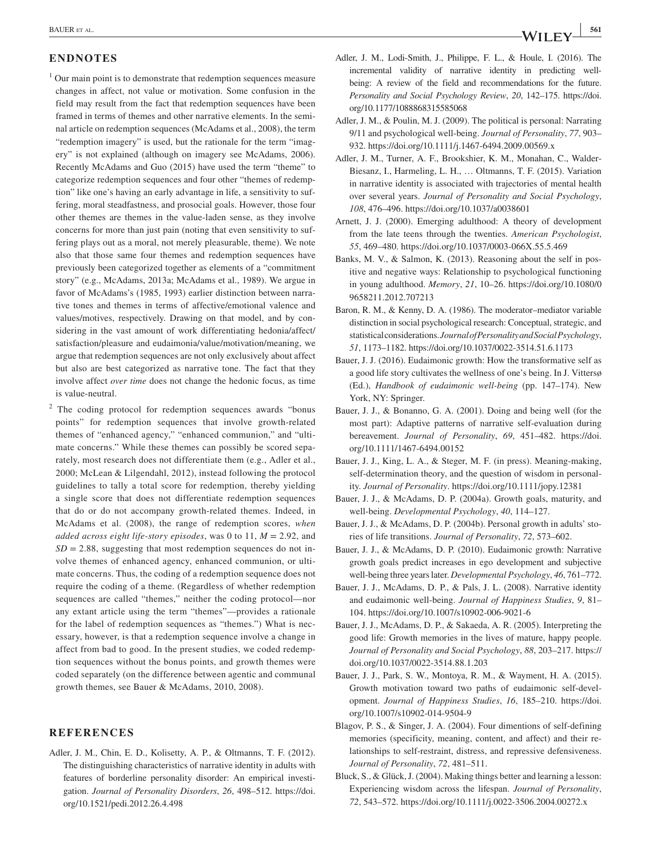#### **ENDNOTES**

- <sup>1</sup> Our main point is to demonstrate that redemption sequences measure changes in affect, not value or motivation. Some confusion in the field may result from the fact that redemption sequences have been framed in terms of themes and other narrative elements. In the seminal article on redemption sequences (McAdams et al., 2008), the term "redemption imagery" is used, but the rationale for the term "imagery" is not explained (although on imagery see McAdams, 2006). Recently McAdams and Guo (2015) have used the term "theme" to categorize redemption sequences and four other "themes of redemption" like one's having an early advantage in life, a sensitivity to suffering, moral steadfastness, and prosocial goals. However, those four other themes are themes in the value‐laden sense, as they involve concerns for more than just pain (noting that even sensitivity to suffering plays out as a moral, not merely pleasurable, theme). We note also that those same four themes and redemption sequences have previously been categorized together as elements of a "commitment story" (e.g., McAdams, 2013a; McAdams et al., 1989). We argue in favor of McAdams's (1985, 1993) earlier distinction between narrative tones and themes in terms of affective/emotional valence and values/motives, respectively. Drawing on that model, and by considering in the vast amount of work differentiating hedonia/affect/ satisfaction/pleasure and eudaimonia/value/motivation/meaning, we argue that redemption sequences are not only exclusively about affect but also are best categorized as narrative tone. The fact that they involve affect *over time* does not change the hedonic focus, as time is value‐neutral.
- <sup>2</sup> The coding protocol for redemption sequences awards "bonus points" for redemption sequences that involve growth‐related themes of "enhanced agency," "enhanced communion," and "ultimate concerns." While these themes can possibly be scored separately, most research does not differentiate them (e.g., Adler et al., 2000; McLean & Lilgendahl, 2012), instead following the protocol guidelines to tally a total score for redemption, thereby yielding a single score that does not differentiate redemption sequences that do or do not accompany growth‐related themes. Indeed, in McAdams et al. (2008), the range of redemption scores, *when added across eight life‐story episodes*, was 0 to 11, *M* = 2.92, and  $SD = 2.88$ , suggesting that most redemption sequences do not involve themes of enhanced agency, enhanced communion, or ultimate concerns. Thus, the coding of a redemption sequence does not require the coding of a theme. (Regardless of whether redemption sequences are called "themes," neither the coding protocol—nor any extant article using the term "themes"—provides a rationale for the label of redemption sequences as "themes.") What is necessary, however, is that a redemption sequence involve a change in affect from bad to good. In the present studies, we coded redemption sequences without the bonus points, and growth themes were coded separately (on the difference between agentic and communal growth themes, see Bauer & McAdams, 2010, 2008).

#### **REFERENCES**

Adler, J. M., Chin, E. D., Kolisetty, A. P., & Oltmanns, T. F. (2012). The distinguishing characteristics of narrative identity in adults with features of borderline personality disorder: An empirical investigation. *Journal of Personality Disorders*, *26*, 498–512. [https://doi.](https://doi.org/10.1521/pedi.2012.26.4.498) [org/10.1521/pedi.2012.26.4.498](https://doi.org/10.1521/pedi.2012.26.4.498)

- Adler, J. M., Lodi‐Smith, J., Philippe, F. L., & Houle, I. (2016). The incremental validity of narrative identity in predicting wellbeing: A review of the field and recommendations for the future. *Personality and Social Psychology Review*, *20*, 142–175. [https://doi.](https://doi.org/10.1177/1088868315585068) [org/10.1177/1088868315585068](https://doi.org/10.1177/1088868315585068)
- Adler, J. M., & Poulin, M. J. (2009). The political is personal: Narrating 9/11 and psychological well‐being. *Journal of Personality*, *77*, 903– 932. <https://doi.org/10.1111/j.1467-6494.2009.00569.x>
- Adler, J. M., Turner, A. F., Brookshier, K. M., Monahan, C., Walder‐ Biesanz, I., Harmeling, L. H., … Oltmanns, T. F. (2015). Variation in narrative identity is associated with trajectories of mental health over several years. *Journal of Personality and Social Psychology*, *108*, 476–496. <https://doi.org/10.1037/a0038601>
- Arnett, J. J. (2000). Emerging adulthood: A theory of development from the late teens through the twenties. *American Psychologist*, *55*, 469–480. <https://doi.org/10.1037/0003-066X.55.5.469>
- Banks, M. V., & Salmon, K. (2013). Reasoning about the self in positive and negative ways: Relationship to psychological functioning in young adulthood. *Memory*, *21*, 10–26. [https://doi.org/10.1080/0](https://doi.org/10.1080/09658211.2012.707213) [9658211.2012.707213](https://doi.org/10.1080/09658211.2012.707213)
- Baron, R. M., & Kenny, D. A. (1986). The moderator–mediator variable distinction in social psychological research: Conceptual, strategic, and statistical considerations. *Journal of Personality and Social Psychology*, *51*, 1173–1182. <https://doi.org/10.1037/0022-3514.51.6.1173>
- Bauer, J. J. (2016). Eudaimonic growth: How the transformative self as a good life story cultivates the wellness of one's being. In J. Vittersø (Ed.), *Handbook of eudaimonic well‐being* (pp. 147–174). New York, NY: Springer.
- Bauer, J. J., & Bonanno, G. A. (2001). Doing and being well (for the most part): Adaptive patterns of narrative self‐evaluation during bereavement. *Journal of Personality*, *69*, 451–482. [https://doi.](https://doi.org/10.1111/1467-6494.00152) [org/10.1111/1467-6494.00152](https://doi.org/10.1111/1467-6494.00152)
- Bauer, J. J., King, L. A., & Steger, M. F. (in press). Meaning‐making, self-determination theory, and the question of wisdom in personality. *Journal of Personality*.<https://doi.org/10.1111/jopy.12381>
- Bauer, J. J., & McAdams, D. P. (2004a). Growth goals, maturity, and well‐being. *Developmental Psychology*, *40*, 114–127.
- Bauer, J. J., & McAdams, D. P. (2004b). Personal growth in adults' stories of life transitions. *Journal of Personality*, *72*, 573–602.
- Bauer, J. J., & McAdams, D. P. (2010). Eudaimonic growth: Narrative growth goals predict increases in ego development and subjective well‐being three years later. *Developmental Psychology*, *46*, 761–772.
- Bauer, J. J., McAdams, D. P., & Pals, J. L. (2008). Narrative identity and eudaimonic well‐being. *Journal of Happiness Studies*, *9*, 81– 104. <https://doi.org/10.1007/s10902-006-9021-6>
- Bauer, J. J., McAdams, D. P., & Sakaeda, A. R. (2005). Interpreting the good life: Growth memories in the lives of mature, happy people. *Journal of Personality and Social Psychology*, *88*, 203–217. [https://](https://doi.org/10.1037/0022-3514.88.1.203) [doi.org/10.1037/0022-3514.88.1.203](https://doi.org/10.1037/0022-3514.88.1.203)
- Bauer, J. J., Park, S. W., Montoya, R. M., & Wayment, H. A. (2015). Growth motivation toward two paths of eudaimonic self‐development. *Journal of Happiness Studies*, *16*, 185–210. [https://doi.](https://doi.org/10.1007/s10902-014-9504-9) [org/10.1007/s10902-014-9504-9](https://doi.org/10.1007/s10902-014-9504-9)
- Blagov, P. S., & Singer, J. A. (2004). Four dimentions of self‐defining memories (specificity, meaning, content, and affect) and their relationships to self‐restraint, distress, and repressive defensiveness. *Journal of Personality*, *72*, 481–511.
- Bluck, S., & Glück, J. (2004). Making things better and learning a lesson: Experiencing wisdom across the lifespan. *Journal of Personality*, *72*, 543–572. <https://doi.org/10.1111/j.0022-3506.2004.00272.x>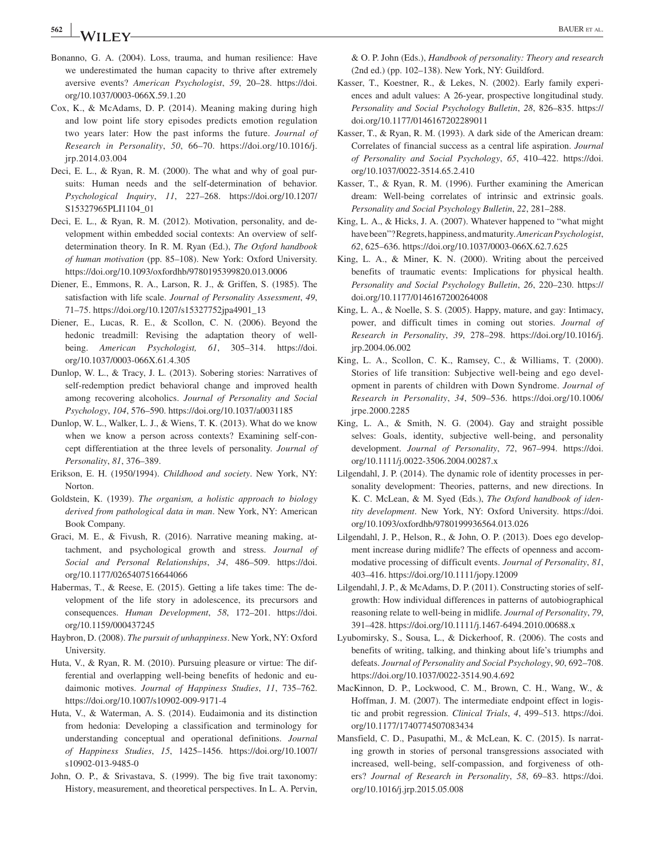**<sup>562</sup> <sup>|</sup>** BAUER et al.

- Bonanno, G. A. (2004). Loss, trauma, and human resilience: Have we underestimated the human capacity to thrive after extremely aversive events? *American Psychologist*, *59*, 20–28. [https://doi.](https://doi.org/10.1037/0003-066X.59.1.20) [org/10.1037/0003-066X.59.1.20](https://doi.org/10.1037/0003-066X.59.1.20)
- Cox, K., & McAdams, D. P. (2014). Meaning making during high and low point life story episodes predicts emotion regulation two years later: How the past informs the future. *Journal of Research in Personality*, *50*, 66–70. [https://doi.org/10.1016/j.](https://doi.org/10.1016/j.jrp.2014.03.004) [jrp.2014.03.004](https://doi.org/10.1016/j.jrp.2014.03.004)
- Deci, E. L., & Ryan, R. M. (2000). The what and why of goal pursuits: Human needs and the self-determination of behavior. *Psychological Inquiry*, *11*, 227–268. [https://doi.org/10.1207/](https://doi.org/10.1207/S15327965PLI1104_01) [S15327965PLI1104\\_01](https://doi.org/10.1207/S15327965PLI1104_01)
- Deci, E. L., & Ryan, R. M. (2012). Motivation, personality, and development within embedded social contexts: An overview of self‐ determination theory. In R. M. Ryan (Ed.), *The Oxford handbook of human motivation* (pp. 85–108). New York: Oxford University. <https://doi.org/10.1093/oxfordhb/9780195399820.013.0006>
- Diener, E., Emmons, R. A., Larson, R. J., & Griffen, S. (1985). The satisfaction with life scale. *Journal of Personality Assessment*, *49*, 71–75. [https://doi.org/10.1207/s15327752jpa4901\\_13](https://doi.org/10.1207/s15327752jpa4901_13)
- Diener, E., Lucas, R. E., & Scollon, C. N. (2006). Beyond the hedonic treadmill: Revising the adaptation theory of wellbeing. *American Psychologist, 61*, 305–314. [https://doi.](https://doi.org/10.1037/0003-066X.61.4.305) [org/10.1037/0003-066X.61.4.305](https://doi.org/10.1037/0003-066X.61.4.305)
- Dunlop, W. L., & Tracy, J. L. (2013). Sobering stories: Narratives of self-redemption predict behavioral change and improved health among recovering alcoholics. *Journal of Personality and Social Psychology*, *104*, 576–590. <https://doi.org/10.1037/a0031185>
- Dunlop, W. L., Walker, L. J., & Wiens, T. K. (2013). What do we know when we know a person across contexts? Examining self-concept differentiation at the three levels of personality. *Journal of Personality*, *81*, 376–389.
- Erikson, E. H. (1950/1994). *Childhood and society*. New York, NY: Norton.
- Goldstein, K. (1939). *The organism, a holistic approach to biology derived from pathological data in man*. New York, NY: American Book Company.
- Graci, M. E., & Fivush, R. (2016). Narrative meaning making, attachment, and psychological growth and stress. *Journal of Social and Personal Relationships*, *34*, 486–509. [https://doi.](https://doi.org/10.1177/0265407516644066) [org/10.1177/0265407516644066](https://doi.org/10.1177/0265407516644066)
- Habermas, T., & Reese, E. (2015). Getting a life takes time: The development of the life story in adolescence, its precursors and consequences. *Human Development*, *58*, 172–201. [https://doi.](https://doi.org/10.1159/000437245) [org/10.1159/000437245](https://doi.org/10.1159/000437245)
- Haybron, D. (2008). *The pursuit of unhappiness*. New York, NY: Oxford University.
- Huta, V., & Ryan, R. M. (2010). Pursuing pleasure or virtue: The differential and overlapping well‐being benefits of hedonic and eudaimonic motives. *Journal of Happiness Studies*, *11*, 735–762. <https://doi.org/10.1007/s10902-009-9171-4>
- Huta, V., & Waterman, A. S. (2014). Eudaimonia and its distinction from hedonia: Developing a classification and terminology for understanding conceptual and operational definitions. *Journal of Happiness Studies*, *15*, 1425–1456. [https://doi.org/10.1007/](https://doi.org/10.1007/s10902-013-9485-0) [s10902-013-9485-0](https://doi.org/10.1007/s10902-013-9485-0)
- John, O. P., & Srivastava, S. (1999). The big five trait taxonomy: History, measurement, and theoretical perspectives. In L. A. Pervin,

& O. P. John (Eds.), *Handbook of personality: Theory and research* (2nd ed.) (pp. 102–138). New York, NY: Guildford.

- Kasser, T., Koestner, R., & Lekes, N. (2002). Early family experiences and adult values: A 26‐year, prospective longitudinal study. *Personality and Social Psychology Bulletin*, *28*, 826–835. [https://](https://doi.org/10.1177/0146167202289011) [doi.org/10.1177/0146167202289011](https://doi.org/10.1177/0146167202289011)
- Kasser, T., & Ryan, R. M. (1993). A dark side of the American dream: Correlates of financial success as a central life aspiration. *Journal of Personality and Social Psychology*, *65*, 410–422. [https://doi.](https://doi.org/10.1037/0022-3514.65.2.410) [org/10.1037/0022-3514.65.2.410](https://doi.org/10.1037/0022-3514.65.2.410)
- Kasser, T., & Ryan, R. M. (1996). Further examining the American dream: Well-being correlates of intrinsic and extrinsic goals. *Personality and Social Psychology Bulletin*, *22*, 281–288.
- King, L. A., & Hicks, J. A. (2007). Whatever happened to "what might have been"? Regrets, happiness, and maturity. *American Psychologist*, *62*, 625–636.<https://doi.org/10.1037/0003-066X.62.7.625>
- King, L. A., & Miner, K. N. (2000). Writing about the perceived benefits of traumatic events: Implications for physical health. *Personality and Social Psychology Bulletin*, *26*, 220–230. [https://](https://doi.org/10.1177/0146167200264008) [doi.org/10.1177/0146167200264008](https://doi.org/10.1177/0146167200264008)
- King, L. A., & Noelle, S. S. (2005). Happy, mature, and gay: Intimacy, power, and difficult times in coming out stories. *Journal of Research in Personality*, *39*, 278–298. [https://doi.org/10.1016/j.](https://doi.org/10.1016/j.jrp.2004.06.002) [jrp.2004.06.002](https://doi.org/10.1016/j.jrp.2004.06.002)
- King, L. A., Scollon, C. K., Ramsey, C., & Williams, T. (2000). Stories of life transition: Subjective well-being and ego development in parents of children with Down Syndrome. *Journal of Research in Personality*, *34*, 509–536. [https://doi.org/10.1006/](https://doi.org/10.1006/jrpe.2000.2285) [jrpe.2000.2285](https://doi.org/10.1006/jrpe.2000.2285)
- King, L. A., & Smith, N. G. (2004). Gay and straight possible selves: Goals, identity, subjective well-being, and personality development. *Journal of Personality*, *72*, 967–994. [https://doi.](https://doi.org/10.1111/j.0022-3506.2004.00287.x) [org/10.1111/j.0022-3506.2004.00287.x](https://doi.org/10.1111/j.0022-3506.2004.00287.x)
- Lilgendahl, J. P. (2014). The dynamic role of identity processes in personality development: Theories, patterns, and new directions. In K. C. McLean, & M. Syed (Eds.), *The Oxford handbook of identity development*. New York, NY: Oxford University. [https://doi.](https://doi.org/10.1093/oxfordhb/9780199936564.013.026) [org/10.1093/oxfordhb/9780199936564.013.026](https://doi.org/10.1093/oxfordhb/9780199936564.013.026)
- Lilgendahl, J. P., Helson, R., & John, O. P. (2013). Does ego development increase during midlife? The effects of openness and accommodative processing of difficult events. *Journal of Personality*, *81*, 403–416. <https://doi.org/10.1111/jopy.12009>
- Lilgendahl, J. P., & McAdams, D. P. (2011). Constructing stories of selfgrowth: How individual differences in patterns of autobiographical reasoning relate to well‐being in midlife. *Journal of Personality*, *79*, 391–428. <https://doi.org/10.1111/j.1467-6494.2010.00688.x>
- Lyubomirsky, S., Sousa, L., & Dickerhoof, R. (2006). The costs and benefits of writing, talking, and thinking about life's triumphs and defeats. *Journal of Personality and Social Psychology*, *90*, 692–708. <https://doi.org/10.1037/0022-3514.90.4.692>
- MacKinnon, D. P., Lockwood, C. M., Brown, C. H., Wang, W., & Hoffman, J. M. (2007). The intermediate endpoint effect in logistic and probit regression. *Clinical Trials*, *4*, 499–513. [https://doi.](https://doi.org/10.1177/1740774507083434) [org/10.1177/1740774507083434](https://doi.org/10.1177/1740774507083434)
- Mansfield, C. D., Pasupathi, M., & McLean, K. C. (2015). Is narrating growth in stories of personal transgressions associated with increased, well‐being, self‐compassion, and forgiveness of others? *Journal of Research in Personality*, *58*, 69–83. [https://doi.](https://doi.org/10.1016/j.jrp.2015.05.008) [org/10.1016/j.jrp.2015.05.008](https://doi.org/10.1016/j.jrp.2015.05.008)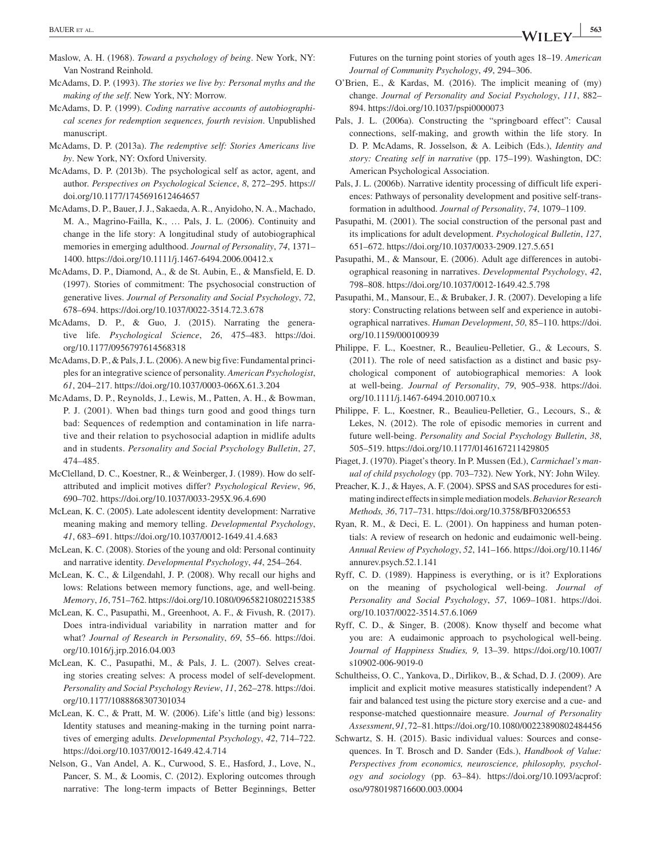- Maslow, A. H. (1968). *Toward a psychology of being*. New York, NY: Van Nostrand Reinhold.
- McAdams, D. P. (1993). *The stories we live by: Personal myths and the making of the self*. New York, NY: Morrow.
- McAdams, D. P. (1999). *Coding narrative accounts of autobiographical scenes for redemption sequences, fourth revision*. Unpublished manuscript.
- McAdams, D. P. (2013a). *The redemptive self: Stories Americans live by*. New York, NY: Oxford University.
- McAdams, D. P. (2013b). The psychological self as actor, agent, and author. *Perspectives on Psychological Science*, *8*, 272–295. [https://](https://doi.org/10.1177/1745691612464657) [doi.org/10.1177/1745691612464657](https://doi.org/10.1177/1745691612464657)
- McAdams, D. P., Bauer, J. J., Sakaeda, A. R., Anyidoho, N. A., Machado, M. A., Magrino‐Failla, K., … Pals, J. L. (2006). Continuity and change in the life story: A longitudinal study of autobiographical memories in emerging adulthood. *Journal of Personality*, *74*, 1371– 1400.<https://doi.org/10.1111/j.1467-6494.2006.00412.x>
- McAdams, D. P., Diamond, A., & de St. Aubin, E., & Mansfield, E. D. (1997). Stories of commitment: The psychosocial construction of generative lives. *Journal of Personality and Social Psychology*, *72*, 678–694. <https://doi.org/10.1037/0022-3514.72.3.678>
- McAdams, D. P., & Guo, J. (2015). Narrating the generative life. *Psychological Science*, *26*, 475–483. [https://doi.](https://doi.org/10.1177/0956797614568318) [org/10.1177/0956797614568318](https://doi.org/10.1177/0956797614568318)
- McAdams, D. P., & Pals, J. L. (2006). A new big five: Fundamental principles for an integrative science of personality. *American Psychologist*, *61*, 204–217. <https://doi.org/10.1037/0003-066X.61.3.204>
- McAdams, D. P., Reynolds, J., Lewis, M., Patten, A. H., & Bowman, P. J. (2001). When bad things turn good and good things turn bad: Sequences of redemption and contamination in life narrative and their relation to psychosocial adaption in midlife adults and in students. *Personality and Social Psychology Bulletin*, *27*, 474–485.
- McClelland, D. C., Koestner, R., & Weinberger, J. (1989). How do selfattributed and implicit motives differ? *Psychological Review*, *96*, 690–702. <https://doi.org/10.1037/0033-295X.96.4.690>
- McLean, K. C. (2005). Late adolescent identity development: Narrative meaning making and memory telling. *Developmental Psychology*, *41*, 683–691. <https://doi.org/10.1037/0012-1649.41.4.683>
- McLean, K. C. (2008). Stories of the young and old: Personal continuity and narrative identity. *Developmental Psychology*, *44*, 254–264.
- McLean, K. C., & Lilgendahl, J. P. (2008). Why recall our highs and lows: Relations between memory functions, age, and well‐being. *Memory*, *16*, 751–762.<https://doi.org/10.1080/09658210802215385>
- McLean, K. C., Pasupathi, M., Greenhoot, A. F., & Fivush, R. (2017). Does intra-individual variability in narration matter and for what? *Journal of Research in Personality*, *69*, 55–66. [https://doi.](https://doi.org/10.1016/j.jrp.2016.04.003) [org/10.1016/j.jrp.2016.04.003](https://doi.org/10.1016/j.jrp.2016.04.003)
- McLean, K. C., Pasupathi, M., & Pals, J. L. (2007). Selves creating stories creating selves: A process model of self‐development. *Personality and Social Psychology Review*, *11*, 262–278. [https://doi.](https://doi.org/10.1177/1088868307301034) [org/10.1177/1088868307301034](https://doi.org/10.1177/1088868307301034)
- McLean, K. C., & Pratt, M. W. (2006). Life's little (and big) lessons: Identity statuses and meaning‐making in the turning point narratives of emerging adults. *Developmental Psychology*, *42*, 714–722. <https://doi.org/10.1037/0012-1649.42.4.714>
- Nelson, G., Van Andel, A. K., Curwood, S. E., Hasford, J., Love, N., Pancer, S. M., & Loomis, C. (2012). Exploring outcomes through narrative: The long‐term impacts of Better Beginnings, Better

Futures on the turning point stories of youth ages 18–19. *American Journal of Community Psychology*, *49*, 294–306.

- O'Brien, E., & Kardas, M. (2016). The implicit meaning of (my) change. *Journal of Personality and Social Psychology*, *111*, 882– 894. <https://doi.org/10.1037/pspi0000073>
- Pals, J. L. (2006a). Constructing the "springboard effect": Causal connections, self‐making, and growth within the life story. In D. P. McAdams, R. Josselson, & A. Leibich (Eds.), *Identity and story: Creating self in narrative* (pp. 175–199). Washington, DC: American Psychological Association.
- Pals, J. L. (2006b). Narrative identity processing of difficult life experiences: Pathways of personality development and positive self-transformation in adulthood. *Journal of Personality*, *74*, 1079–1109.
- Pasupathi, M. (2001). The social construction of the personal past and its implications for adult development. *Psychological Bulletin*, *127*, 651–672. <https://doi.org/10.1037/0033-2909.127.5.651>
- Pasupathi, M., & Mansour, E. (2006). Adult age differences in autobiographical reasoning in narratives. *Developmental Psychology*, *42*, 798–808. <https://doi.org/10.1037/0012-1649.42.5.798>
- Pasupathi, M., Mansour, E., & Brubaker, J. R. (2007). Developing a life story: Constructing relations between self and experience in autobiographical narratives. *Human Development*, *50*, 85–110. [https://doi.](https://doi.org/10.1159/000100939) [org/10.1159/000100939](https://doi.org/10.1159/000100939)
- Philippe, F. L., Koestner, R., Beaulieu‐Pelletier, G., & Lecours, S. (2011). The role of need satisfaction as a distinct and basic psychological component of autobiographical memories: A look at well‐being. *Journal of Personality*, *79*, 905–938. [https://doi.](https://doi.org/10.1111/j.1467-6494.2010.00710.x) [org/10.1111/j.1467-6494.2010.00710.x](https://doi.org/10.1111/j.1467-6494.2010.00710.x)
- Philippe, F. L., Koestner, R., Beaulieu‐Pelletier, G., Lecours, S., & Lekes, N. (2012). The role of episodic memories in current and future well‐being. *Personality and Social Psychology Bulletin*, *38*, 505–519. <https://doi.org/10.1177/0146167211429805>
- Piaget, J. (1970). Piaget's theory. In P. Mussen (Ed.), *Carmichael's manual of child psychology* (pp. 703–732). New York, NY: John Wiley.
- Preacher, K. J., & Hayes, A. F. (2004). SPSS and SAS procedures for estimating indirect effects in simple mediation models. *Behavior Research Methods, 36*, 717–731. <https://doi.org/10.3758/BF03206553>
- Ryan, R. M., & Deci, E. L. (2001). On happiness and human potentials: A review of research on hedonic and eudaimonic well‐being. *Annual Review of Psychology*, *52*, 141–166. [https://doi.org/10.1146/](https://doi.org/10.1146/annurev.psych.52.1.141) [annurev.psych.52.1.141](https://doi.org/10.1146/annurev.psych.52.1.141)
- Ryff, C. D. (1989). Happiness is everything, or is it? Explorations on the meaning of psychological well‐being. *Journal of Personality and Social Psychology*, *57*, 1069–1081. [https://doi.](https://doi.org/10.1037/0022-3514.57.6.1069) [org/10.1037/0022-3514.57.6.1069](https://doi.org/10.1037/0022-3514.57.6.1069)
- Ryff, C. D., & Singer, B. (2008). Know thyself and become what you are: A eudaimonic approach to psychological well‐being. *Journal of Happiness Studies, 9,* 13–39. [https://doi.org/10.1007/](https://doi.org/10.1007/s10902-006-9019-0) [s10902-006-9019-0](https://doi.org/10.1007/s10902-006-9019-0)
- Schultheiss, O. C., Yankova, D., Dirlikov, B., & Schad, D. J. (2009). Are implicit and explicit motive measures statistically independent? A fair and balanced test using the picture story exercise and a cue- and response‐matched questionnaire measure. *Journal of Personality Assessment*, *91*, 72–81.<https://doi.org/10.1080/00223890802484456>
- Schwartz, S. H. (2015). Basic individual values: Sources and consequences. In T. Brosch and D. Sander (Eds.), *Handbook of Value: Perspectives from economics, neuroscience, philosophy, psychology and sociology* (pp. 63–84). [https://doi.org/10.1093/acprof:](https://doi.org/10.1093/acprof:oso/9780198716600.003.0004) [oso/9780198716600.003.0004](https://doi.org/10.1093/acprof:oso/9780198716600.003.0004)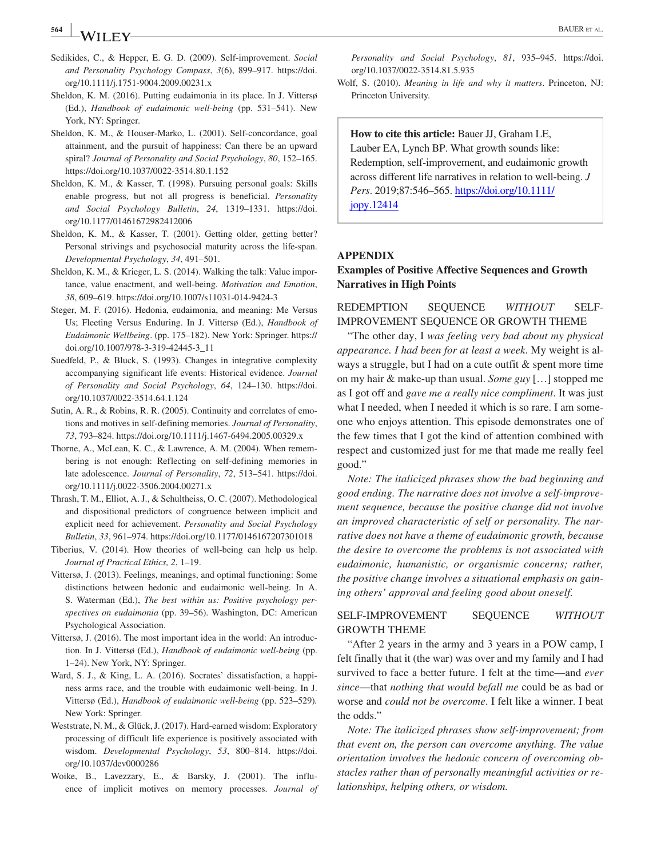- Sedikides, C., & Hepper, E. G. D. (2009). Self‐improvement. *Social and Personality Psychology Compass*, *3*(6), 899–917. [https://doi.](https://doi.org/10.1111/j.1751-9004.2009.00231.x) [org/10.1111/j.1751-9004.2009.00231.x](https://doi.org/10.1111/j.1751-9004.2009.00231.x)
- Sheldon, K. M. (2016). Putting eudaimonia in its place. In J. Vittersø (Ed.), *Handbook of eudaimonic well‐being* (pp. 531–541). New York, NY: Springer.
- Sheldon, K. M., & Houser‐Marko, L. (2001). Self‐concordance, goal attainment, and the pursuit of happiness: Can there be an upward spiral? *Journal of Personality and Social Psychology*, *80*, 152–165. <https://doi.org/10.1037/0022-3514.80.1.152>
- Sheldon, K. M., & Kasser, T. (1998). Pursuing personal goals: Skills enable progress, but not all progress is beneficial. *Personality and Social Psychology Bulletin*, *24*, 1319–1331. [https://doi.](https://doi.org/10.1177/01461672982412006) [org/10.1177/01461672982412006](https://doi.org/10.1177/01461672982412006)
- Sheldon, K. M., & Kasser, T. (2001). Getting older, getting better? Personal strivings and psychosocial maturity across the life-span. *Developmental Psychology*, *34*, 491–501.
- Sheldon, K. M., & Krieger, L. S. (2014). Walking the talk: Value importance, value enactment, and well‐being. *Motivation and Emotion*, *38*, 609–619.<https://doi.org/10.1007/s11031-014-9424-3>
- Steger, M. F. (2016). Hedonia, eudaimonia, and meaning: Me Versus Us; Fleeting Versus Enduring. In J. Vittersø (Ed.), *Handbook of Eudaimonic Wellbeing*. (pp. 175–182). New York: Springer. [https://](https://doi.org/10.1007/978-3-319-42445-3_11) [doi.org/10.1007/978-3-319-42445-3\\_11](https://doi.org/10.1007/978-3-319-42445-3_11)
- Suedfeld, P., & Bluck, S. (1993). Changes in integrative complexity accompanying significant life events: Historical evidence. *Journal of Personality and Social Psychology*, *64*, 124–130. [https://doi.](https://doi.org/10.1037/0022-3514.64.1.124) [org/10.1037/0022-3514.64.1.124](https://doi.org/10.1037/0022-3514.64.1.124)
- Sutin, A. R., & Robins, R. R. (2005). Continuity and correlates of emotions and motives in self‐defining memories. *Journal of Personality*, *73*, 793–824.<https://doi.org/10.1111/j.1467-6494.2005.00329.x>
- Thorne, A., McLean, K. C., & Lawrence, A. M. (2004). When remembering is not enough: Reflecting on self‐defining memories in late adolescence. *Journal of Personality*, *72*, 513–541. [https://doi.](https://doi.org/10.1111/j.0022-3506.2004.00271.x) [org/10.1111/j.0022-3506.2004.00271.x](https://doi.org/10.1111/j.0022-3506.2004.00271.x)
- Thrash, T. M., Elliot, A. J., & Schultheiss, O. C. (2007). Methodological and dispositional predictors of congruence between implicit and explicit need for achievement. *Personality and Social Psychology Bulletin*, *33*, 961–974.<https://doi.org/10.1177/0146167207301018>
- Tiberius, V. (2014). How theories of well‐being can help us help. *Journal of Practical Ethics, 2*, 1–19.
- Vittersø, J. (2013). Feelings, meanings, and optimal functioning: Some distinctions between hedonic and eudaimonic well‐being. In A. S. Waterman (Ed.), *The best within us: Positive psychology perspectives on eudaimonia* (pp. 39–56). Washington, DC: American Psychological Association.
- Vittersø, J. (2016). The most important idea in the world: An introduction. In J. Vittersø (Ed.), *Handbook of eudaimonic well‐being* (pp. 1–24). New York, NY: Springer.
- Ward, S. J., & King, L. A. (2016). Socrates' dissatisfaction, a happiness arms race, and the trouble with eudaimonic well‐being. In J. Vittersø (Ed.), *Handbook of eudaimonic well‐being* (pp. 523–529)*.* New York: Springer.
- Weststrate, N. M., & Glück, J. (2017). Hard-earned wisdom: Exploratory processing of difficult life experience is positively associated with wisdom. *Developmental Psychology*, *53*, 800–814. [https://doi.](https://doi.org/10.1037/dev0000286) [org/10.1037/dev0000286](https://doi.org/10.1037/dev0000286)
- Woike, B., Lavezzary, E., & Barsky, J. (2001). The influence of implicit motives on memory processes. *Journal of*

Wolf, S. (2010). *Meaning in life and why it matters*. Princeton, NJ: Princeton University.

**How to cite this article:** Bauer JJ, Graham LE, Lauber EA, Lynch BP. What growth sounds like: Redemption, self‐improvement, and eudaimonic growth across different life narratives in relation to well‐being. *J Pers*. 2019;87:546–565. [https://doi.org/10.1111/](https://doi.org/10.1111/jopy.12414) [jopy.12414](https://doi.org/10.1111/jopy.12414)

#### **APPENDIX**

## **Examples of Positive Affective Sequences and Growth Narratives in High Points**

REDEMPTION SEQUENCE *WITHOUT* SELF‐ IMPROVEMENT SEQUENCE OR GROWTH THEME

"The other day, I *was feeling very bad about my physical appearance. I had been for at least a week*. My weight is always a struggle, but I had on a cute outfit & spent more time on my hair & make‐up than usual. *Some guy* […] stopped me as I got off and *gave me a really nice compliment*. It was just what I needed, when I needed it which is so rare. I am someone who enjoys attention. This episode demonstrates one of the few times that I got the kind of attention combined with respect and customized just for me that made me really feel good."

*Note: The italicized phrases show the bad beginning and good ending. The narrative does not involve a self‐improvement sequence, because the positive change did not involve an improved characteristic of self or personality. The narrative does not have a theme of eudaimonic growth, because the desire to overcome the problems is not associated with eudaimonic, humanistic, or organismic concerns; rather, the positive change involves a situational emphasis on gaining others' approval and feeling good about oneself.*

# SELF‐IMPROVEMENT SEQUENCE *WITHOUT* GROWTH THEME

"After 2 years in the army and 3 years in a POW camp, I felt finally that it (the war) was over and my family and I had survived to face a better future. I felt at the time—and *ever since*—that *nothing that would befall me* could be as bad or worse and *could not be overcome*. I felt like a winner. I beat the odds."

*Note: The italicized phrases show self‐improvement; from that event on, the person can overcome anything. The value orientation involves the hedonic concern of overcoming obstacles rather than of personally meaningful activities or relationships, helping others, or wisdom.*